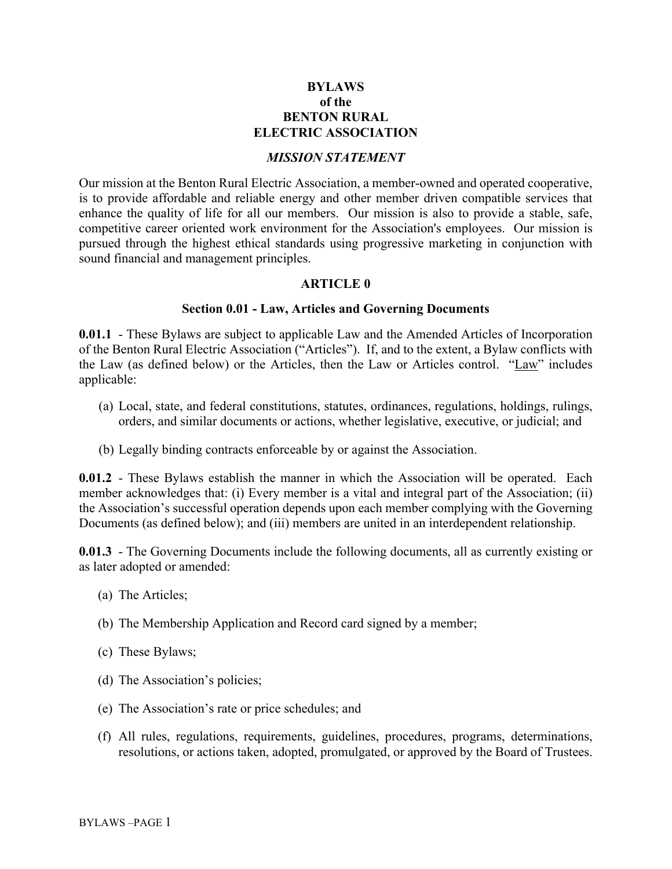## **BYLAWS of the BENTON RURAL ELECTRIC ASSOCIATION**

#### *MISSION STATEMENT*

Our mission at the Benton Rural Electric Association, a member-owned and operated cooperative, is to provide affordable and reliable energy and other member driven compatible services that enhance the quality of life for all our members. Our mission is also to provide a stable, safe, competitive career oriented work environment for the Association's employees. Our mission is pursued through the highest ethical standards using progressive marketing in conjunction with sound financial and management principles.

#### **ARTICLE 0**

#### **Section 0.01 - Law, Articles and Governing Documents**

**0.01.1** - These Bylaws are subject to applicable Law and the Amended Articles of Incorporation of the Benton Rural Electric Association ("Articles"). If, and to the extent, a Bylaw conflicts with the Law (as defined below) or the Articles, then the Law or Articles control. "Law" includes applicable:

- (a) Local, state, and federal constitutions, statutes, ordinances, regulations, holdings, rulings, orders, and similar documents or actions, whether legislative, executive, or judicial; and
- (b) Legally binding contracts enforceable by or against the Association.

**0.01.2** - These Bylaws establish the manner in which the Association will be operated. Each member acknowledges that: (i) Every member is a vital and integral part of the Association; (ii) the Association's successful operation depends upon each member complying with the Governing Documents (as defined below); and (iii) members are united in an interdependent relationship.

**0.01.3** - The Governing Documents include the following documents, all as currently existing or as later adopted or amended:

- (a) The Articles;
- (b) The Membership Application and Record card signed by a member;
- (c) These Bylaws;
- (d) The Association's policies;
- (e) The Association's rate or price schedules; and
- (f) All rules, regulations, requirements, guidelines, procedures, programs, determinations, resolutions, or actions taken, adopted, promulgated, or approved by the Board of Trustees.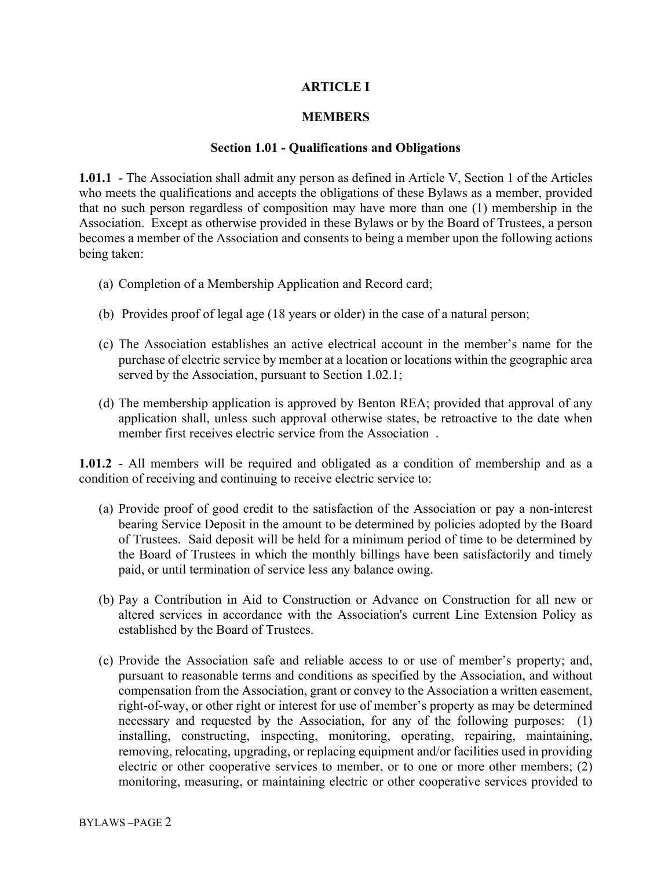## **ARTICLE I**

#### **MEMBERS**

#### **Section 1.01 - Qualifications and Obligations**

**1.01.1** - The Association shall admit any person as defined in Article V, Section 1 of the Articles who meets the qualifications and accepts the obligations of these Bylaws as a member, provided that no such person regardless of composition may have more than one (1) membership in the Association. Except as otherwise provided in these Bylaws or by the Board of Trustees, a person becomes a member of the Association and consents to being a member upon the following actions being taken:

- (a) Completion of a Membership Application and Record card;
- (b) Provides proof of legal age (18 years or older) in the case of a natural person;
- (c) The Association establishes an active electrical account in the member's name for the purchase of electric service by member at a location or locations within the geographic area served by the Association, pursuant to Section 1.02.1;
- (d) The membership application is approved by Benton REA; provided that approval of any application shall, unless such approval otherwise states, be retroactive to the date when member first receives electric service from the Association .

**1.01.2** - All members will be required and obligated as a condition of membership and as a condition of receiving and continuing to receive electric service to:

- (a) Provide proof of good credit to the satisfaction of the Association or pay a non-interest bearing Service Deposit in the amount to be determined by policies adopted by the Board of Trustees. Said deposit will be held for a minimum period of time to be determined by the Board of Trustees in which the monthly billings have been satisfactorily and timely paid, or until termination of service less any balance owing.
- (b) Pay a Contribution in Aid to Construction or Advance on Construction for all new or altered services in accordance with the Association's current Line Extension Policy as established by the Board of Trustees.
- (c) Provide the Association safe and reliable access to or use of member's property; and, pursuant to reasonable terms and conditions as specified by the Association, and without compensation from the Association, grant or convey to the Association a written easement, right-of-way, or other right or interest for use of member's property as may be determined necessary and requested by the Association, for any of the following purposes: (1) installing, constructing, inspecting, monitoring, operating, repairing, maintaining, removing, relocating, upgrading, or replacing equipment and/or facilities used in providing electric or other cooperative services to member, or to one or more other members; (2) monitoring, measuring, or maintaining electric or other cooperative services provided to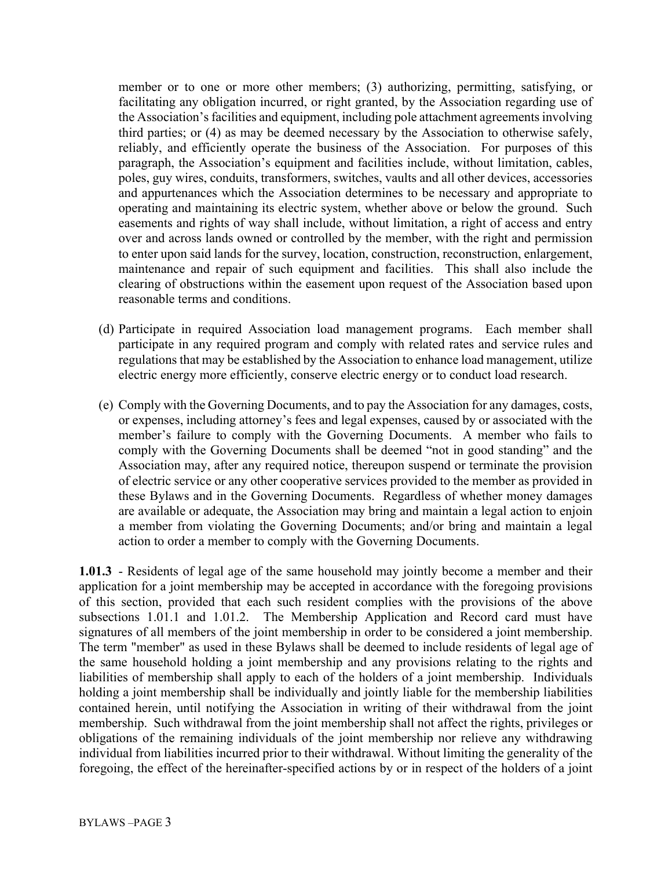member or to one or more other members; (3) authorizing, permitting, satisfying, or facilitating any obligation incurred, or right granted, by the Association regarding use of the Association's facilities and equipment, including pole attachment agreements involving third parties; or (4) as may be deemed necessary by the Association to otherwise safely, reliably, and efficiently operate the business of the Association. For purposes of this paragraph, the Association's equipment and facilities include, without limitation, cables, poles, guy wires, conduits, transformers, switches, vaults and all other devices, accessories and appurtenances which the Association determines to be necessary and appropriate to operating and maintaining its electric system, whether above or below the ground. Such easements and rights of way shall include, without limitation, a right of access and entry over and across lands owned or controlled by the member, with the right and permission to enter upon said lands for the survey, location, construction, reconstruction, enlargement, maintenance and repair of such equipment and facilities. This shall also include the clearing of obstructions within the easement upon request of the Association based upon reasonable terms and conditions.

- (d) Participate in required Association load management programs. Each member shall participate in any required program and comply with related rates and service rules and regulations that may be established by the Association to enhance load management, utilize electric energy more efficiently, conserve electric energy or to conduct load research.
- (e) Comply with the Governing Documents, and to pay the Association for any damages, costs, or expenses, including attorney's fees and legal expenses, caused by or associated with the member's failure to comply with the Governing Documents. A member who fails to comply with the Governing Documents shall be deemed "not in good standing" and the Association may, after any required notice, thereupon suspend or terminate the provision of electric service or any other cooperative services provided to the member as provided in these Bylaws and in the Governing Documents. Regardless of whether money damages are available or adequate, the Association may bring and maintain a legal action to enjoin a member from violating the Governing Documents; and/or bring and maintain a legal action to order a member to comply with the Governing Documents.

**1.01.3** - Residents of legal age of the same household may jointly become a member and their application for a joint membership may be accepted in accordance with the foregoing provisions of this section, provided that each such resident complies with the provisions of the above subsections 1.01.1 and 1.01.2. The Membership Application and Record card must have signatures of all members of the joint membership in order to be considered a joint membership. The term "member" as used in these Bylaws shall be deemed to include residents of legal age of the same household holding a joint membership and any provisions relating to the rights and liabilities of membership shall apply to each of the holders of a joint membership. Individuals holding a joint membership shall be individually and jointly liable for the membership liabilities contained herein, until notifying the Association in writing of their withdrawal from the joint membership. Such withdrawal from the joint membership shall not affect the rights, privileges or obligations of the remaining individuals of the joint membership nor relieve any withdrawing individual from liabilities incurred prior to their withdrawal. Without limiting the generality of the foregoing, the effect of the hereinafter-specified actions by or in respect of the holders of a joint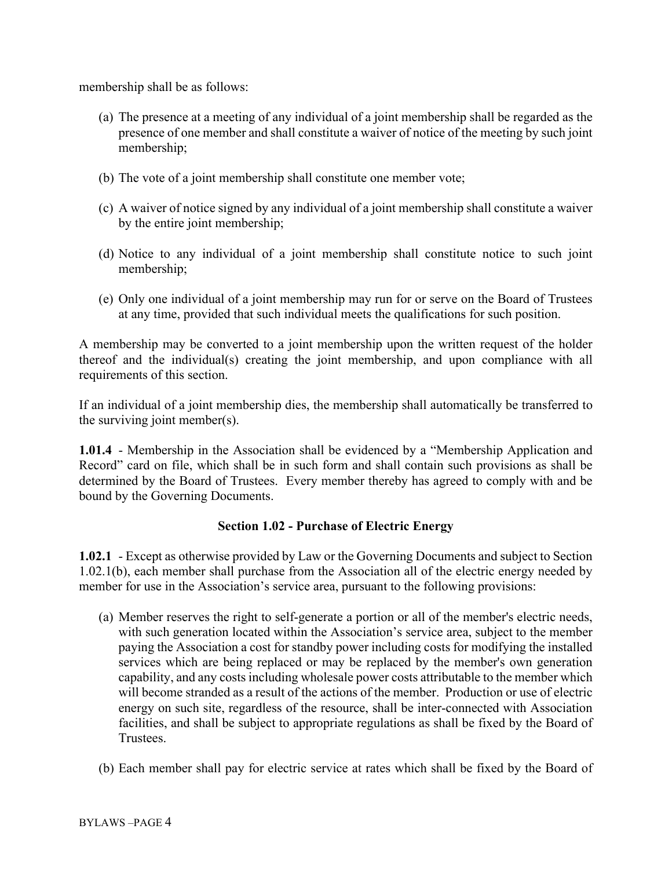membership shall be as follows:

- (a) The presence at a meeting of any individual of a joint membership shall be regarded as the presence of one member and shall constitute a waiver of notice of the meeting by such joint membership;
- (b) The vote of a joint membership shall constitute one member vote;
- (c) A waiver of notice signed by any individual of a joint membership shall constitute a waiver by the entire joint membership;
- (d) Notice to any individual of a joint membership shall constitute notice to such joint membership;
- (e) Only one individual of a joint membership may run for or serve on the Board of Trustees at any time, provided that such individual meets the qualifications for such position.

A membership may be converted to a joint membership upon the written request of the holder thereof and the individual(s) creating the joint membership, and upon compliance with all requirements of this section.

If an individual of a joint membership dies, the membership shall automatically be transferred to the surviving joint member(s).

**1.01.4** - Membership in the Association shall be evidenced by a "Membership Application and Record" card on file, which shall be in such form and shall contain such provisions as shall be determined by the Board of Trustees. Every member thereby has agreed to comply with and be bound by the Governing Documents.

### **Section 1.02 - Purchase of Electric Energy**

**1.02.1** - Except as otherwise provided by Law or the Governing Documents and subject to Section 1.02.1(b), each member shall purchase from the Association all of the electric energy needed by member for use in the Association's service area, pursuant to the following provisions:

- (a) Member reserves the right to self-generate a portion or all of the member's electric needs, with such generation located within the Association's service area, subject to the member paying the Association a cost for standby power including costs for modifying the installed services which are being replaced or may be replaced by the member's own generation capability, and any costs including wholesale power costs attributable to the member which will become stranded as a result of the actions of the member. Production or use of electric energy on such site, regardless of the resource, shall be inter-connected with Association facilities, and shall be subject to appropriate regulations as shall be fixed by the Board of Trustees.
- (b) Each member shall pay for electric service at rates which shall be fixed by the Board of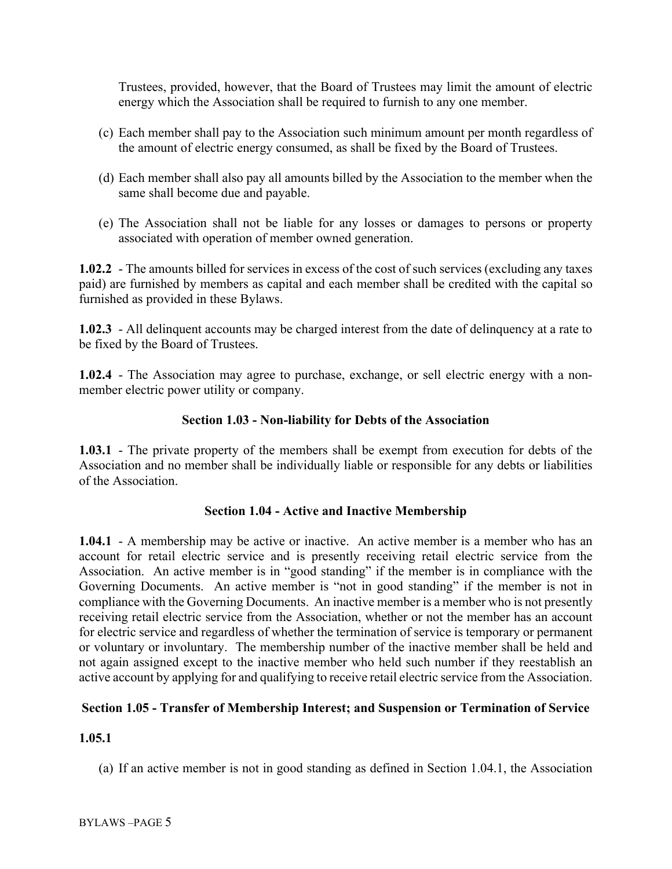Trustees, provided, however, that the Board of Trustees may limit the amount of electric energy which the Association shall be required to furnish to any one member.

- (c) Each member shall pay to the Association such minimum amount per month regardless of the amount of electric energy consumed, as shall be fixed by the Board of Trustees.
- (d) Each member shall also pay all amounts billed by the Association to the member when the same shall become due and payable.
- (e) The Association shall not be liable for any losses or damages to persons or property associated with operation of member owned generation.

**1.02.2** - The amounts billed for services in excess of the cost of such services (excluding any taxes paid) are furnished by members as capital and each member shall be credited with the capital so furnished as provided in these Bylaws.

**1.02.3** - All delinquent accounts may be charged interest from the date of delinquency at a rate to be fixed by the Board of Trustees.

**1.02.4** - The Association may agree to purchase, exchange, or sell electric energy with a nonmember electric power utility or company.

## **Section 1.03 - Non-liability for Debts of the Association**

**1.03.1** - The private property of the members shall be exempt from execution for debts of the Association and no member shall be individually liable or responsible for any debts or liabilities of the Association.

### **Section 1.04 - Active and Inactive Membership**

**1.04.1** - A membership may be active or inactive. An active member is a member who has an account for retail electric service and is presently receiving retail electric service from the Association. An active member is in "good standing" if the member is in compliance with the Governing Documents. An active member is "not in good standing" if the member is not in compliance with the Governing Documents. An inactive member is a member who is not presently receiving retail electric service from the Association, whether or not the member has an account for electric service and regardless of whether the termination of service is temporary or permanent or voluntary or involuntary. The membership number of the inactive member shall be held and not again assigned except to the inactive member who held such number if they reestablish an active account by applying for and qualifying to receive retail electric service from the Association.

### **Section 1.05 - Transfer of Membership Interest; and Suspension or Termination of Service**

### **1.05.1**

(a) If an active member is not in good standing as defined in Section 1.04.1, the Association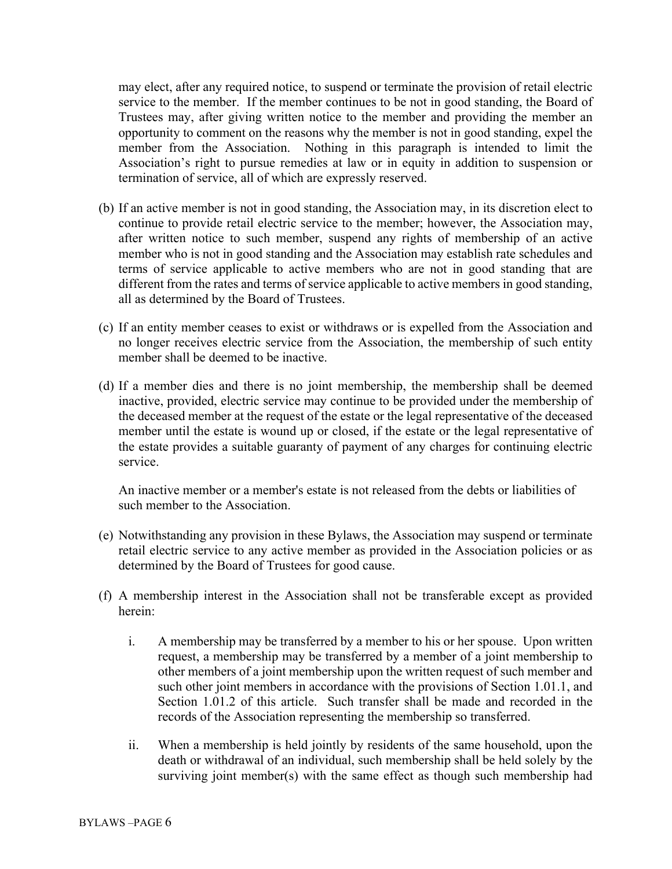may elect, after any required notice, to suspend or terminate the provision of retail electric service to the member. If the member continues to be not in good standing, the Board of Trustees may, after giving written notice to the member and providing the member an opportunity to comment on the reasons why the member is not in good standing, expel the member from the Association. Nothing in this paragraph is intended to limit the Association's right to pursue remedies at law or in equity in addition to suspension or termination of service, all of which are expressly reserved.

- (b) If an active member is not in good standing, the Association may, in its discretion elect to continue to provide retail electric service to the member; however, the Association may, after written notice to such member, suspend any rights of membership of an active member who is not in good standing and the Association may establish rate schedules and terms of service applicable to active members who are not in good standing that are different from the rates and terms of service applicable to active members in good standing, all as determined by the Board of Trustees.
- (c) If an entity member ceases to exist or withdraws or is expelled from the Association and no longer receives electric service from the Association, the membership of such entity member shall be deemed to be inactive.
- (d) If a member dies and there is no joint membership, the membership shall be deemed inactive, provided, electric service may continue to be provided under the membership of the deceased member at the request of the estate or the legal representative of the deceased member until the estate is wound up or closed, if the estate or the legal representative of the estate provides a suitable guaranty of payment of any charges for continuing electric service.

An inactive member or a member's estate is not released from the debts or liabilities of such member to the Association.

- (e) Notwithstanding any provision in these Bylaws, the Association may suspend or terminate retail electric service to any active member as provided in the Association policies or as determined by the Board of Trustees for good cause.
- (f) A membership interest in the Association shall not be transferable except as provided herein:
	- i. A membership may be transferred by a member to his or her spouse. Upon written request, a membership may be transferred by a member of a joint membership to other members of a joint membership upon the written request of such member and such other joint members in accordance with the provisions of Section 1.01.1, and Section 1.01.2 of this article. Such transfer shall be made and recorded in the records of the Association representing the membership so transferred.
	- ii. When a membership is held jointly by residents of the same household, upon the death or withdrawal of an individual, such membership shall be held solely by the surviving joint member(s) with the same effect as though such membership had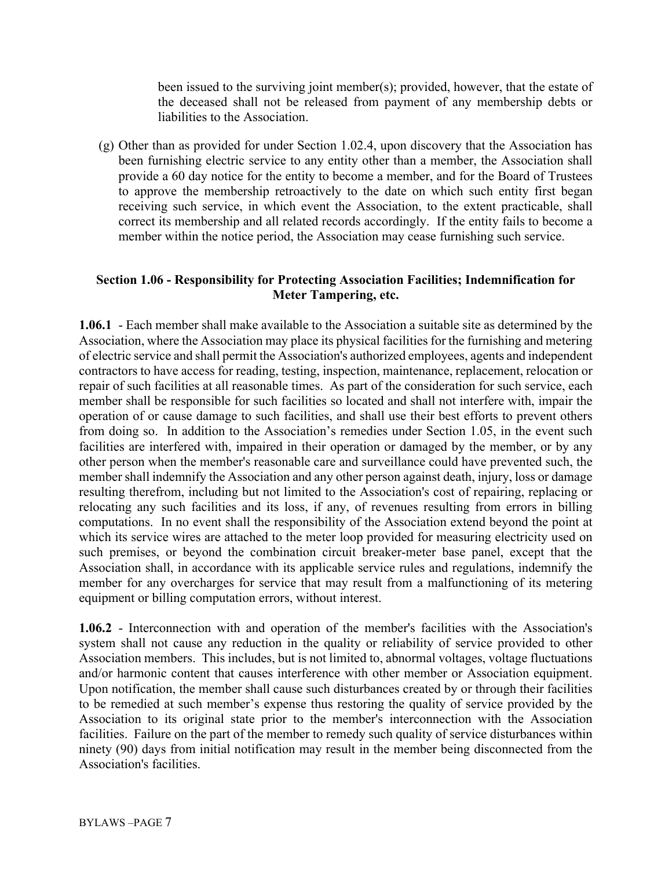been issued to the surviving joint member(s); provided, however, that the estate of the deceased shall not be released from payment of any membership debts or liabilities to the Association.

(g) Other than as provided for under Section 1.02.4, upon discovery that the Association has been furnishing electric service to any entity other than a member, the Association shall provide a 60 day notice for the entity to become a member, and for the Board of Trustees to approve the membership retroactively to the date on which such entity first began receiving such service, in which event the Association, to the extent practicable, shall correct its membership and all related records accordingly. If the entity fails to become a member within the notice period, the Association may cease furnishing such service.

## **Section 1.06 - Responsibility for Protecting Association Facilities; Indemnification for Meter Tampering, etc.**

**1.06.1** - Each member shall make available to the Association a suitable site as determined by the Association, where the Association may place its physical facilities for the furnishing and metering of electric service and shall permit the Association's authorized employees, agents and independent contractors to have access for reading, testing, inspection, maintenance, replacement, relocation or repair of such facilities at all reasonable times. As part of the consideration for such service, each member shall be responsible for such facilities so located and shall not interfere with, impair the operation of or cause damage to such facilities, and shall use their best efforts to prevent others from doing so. In addition to the Association's remedies under Section 1.05, in the event such facilities are interfered with, impaired in their operation or damaged by the member, or by any other person when the member's reasonable care and surveillance could have prevented such, the member shall indemnify the Association and any other person against death, injury, loss or damage resulting therefrom, including but not limited to the Association's cost of repairing, replacing or relocating any such facilities and its loss, if any, of revenues resulting from errors in billing computations. In no event shall the responsibility of the Association extend beyond the point at which its service wires are attached to the meter loop provided for measuring electricity used on such premises, or beyond the combination circuit breaker-meter base panel, except that the Association shall, in accordance with its applicable service rules and regulations, indemnify the member for any overcharges for service that may result from a malfunctioning of its metering equipment or billing computation errors, without interest.

**1.06.2** - Interconnection with and operation of the member's facilities with the Association's system shall not cause any reduction in the quality or reliability of service provided to other Association members. This includes, but is not limited to, abnormal voltages, voltage fluctuations and/or harmonic content that causes interference with other member or Association equipment. Upon notification, the member shall cause such disturbances created by or through their facilities to be remedied at such member's expense thus restoring the quality of service provided by the Association to its original state prior to the member's interconnection with the Association facilities. Failure on the part of the member to remedy such quality of service disturbances within ninety (90) days from initial notification may result in the member being disconnected from the Association's facilities.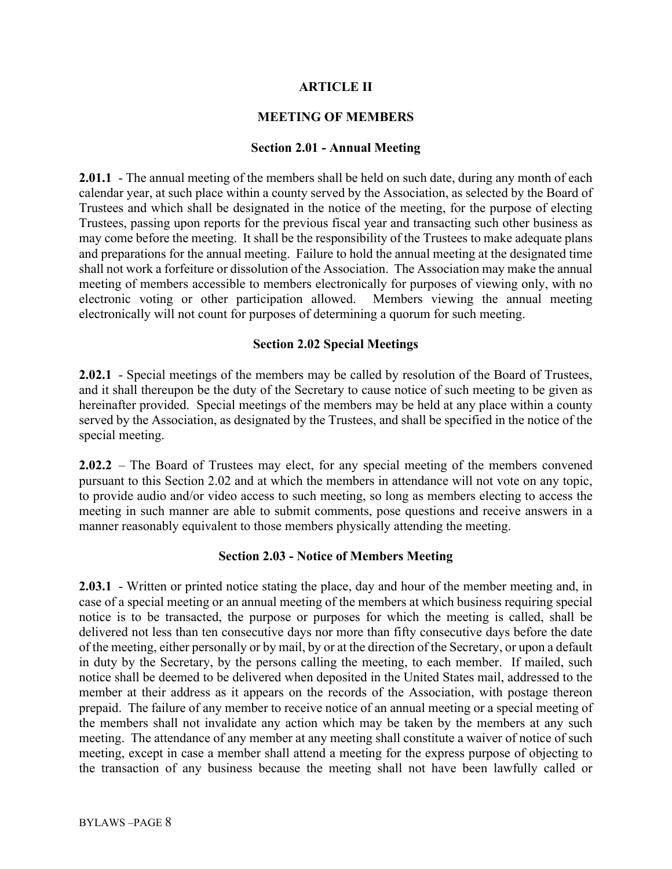## **ARTICLE II**

## **MEETING OF MEMBERS**

#### **Section 2.01 - Annual Meeting**

**2.01.1** - The annual meeting of the members shall be held on such date, during any month of each calendar year, at such place within a county served by the Association, as selected by the Board of Trustees and which shall be designated in the notice of the meeting, for the purpose of electing Trustees, passing upon reports for the previous fiscal year and transacting such other business as may come before the meeting. It shall be the responsibility of the Trustees to make adequate plans and preparations for the annual meeting. Failure to hold the annual meeting at the designated time shall not work a forfeiture or dissolution of the Association. The Association may make the annual meeting of members accessible to members electronically for purposes of viewing only, with no electronic voting or other participation allowed. Members viewing the annual meeting electronically will not count for purposes of determining a quorum for such meeting.

### **Section 2.02 Special Meetings**

**2.02.1** - Special meetings of the members may be called by resolution of the Board of Trustees, and it shall thereupon be the duty of the Secretary to cause notice of such meeting to be given as hereinafter provided. Special meetings of the members may be held at any place within a county served by the Association, as designated by the Trustees, and shall be specified in the notice of the special meeting.

**2.02.2** – The Board of Trustees may elect, for any special meeting of the members convened pursuant to this Section 2.02 and at which the members in attendance will not vote on any topic, to provide audio and/or video access to such meeting, so long as members electing to access the meeting in such manner are able to submit comments, pose questions and receive answers in a manner reasonably equivalent to those members physically attending the meeting.

### **Section 2.03 - Notice of Members Meeting**

**2.03.1** - Written or printed notice stating the place, day and hour of the member meeting and, in case of a special meeting or an annual meeting of the members at which business requiring special notice is to be transacted, the purpose or purposes for which the meeting is called, shall be delivered not less than ten consecutive days nor more than fifty consecutive days before the date of the meeting, either personally or by mail, by or at the direction of the Secretary, or upon a default in duty by the Secretary, by the persons calling the meeting, to each member. If mailed, such notice shall be deemed to be delivered when deposited in the United States mail, addressed to the member at their address as it appears on the records of the Association, with postage thereon prepaid. The failure of any member to receive notice of an annual meeting or a special meeting of the members shall not invalidate any action which may be taken by the members at any such meeting. The attendance of any member at any meeting shall constitute a waiver of notice of such meeting, except in case a member shall attend a meeting for the express purpose of objecting to the transaction of any business because the meeting shall not have been lawfully called or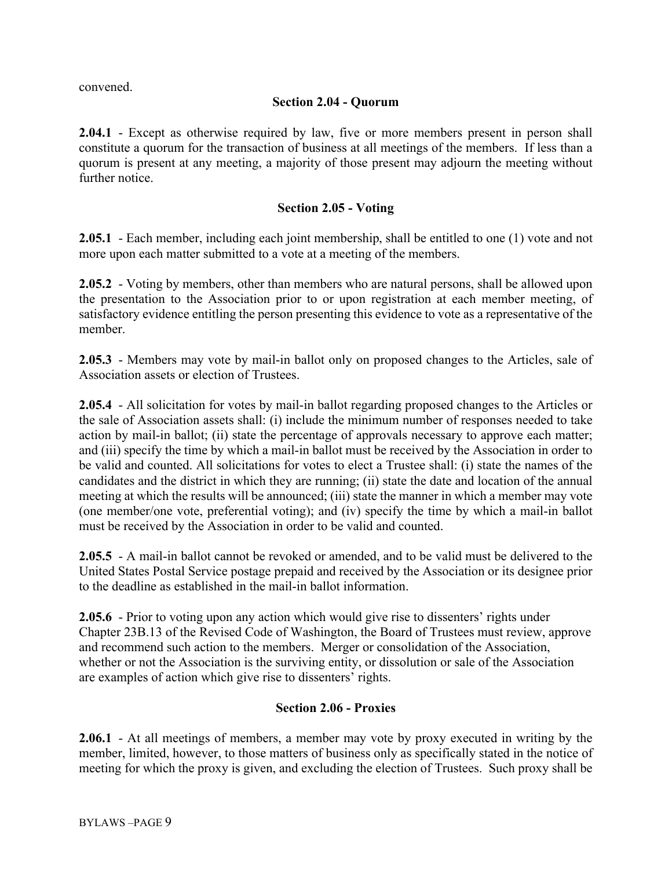convened.

## **Section 2.04 - Quorum**

**2.04.1** - Except as otherwise required by law, five or more members present in person shall constitute a quorum for the transaction of business at all meetings of the members. If less than a quorum is present at any meeting, a majority of those present may adjourn the meeting without further notice.

## **Section 2.05 - Voting**

**2.05.1** - Each member, including each joint membership, shall be entitled to one (1) vote and not more upon each matter submitted to a vote at a meeting of the members.

**2.05.2** - Voting by members, other than members who are natural persons, shall be allowed upon the presentation to the Association prior to or upon registration at each member meeting, of satisfactory evidence entitling the person presenting this evidence to vote as a representative of the member.

**2.05.3** - Members may vote by mail-in ballot only on proposed changes to the Articles, sale of Association assets or election of Trustees.

**2.05.4** - All solicitation for votes by mail-in ballot regarding proposed changes to the Articles or the sale of Association assets shall: (i) include the minimum number of responses needed to take action by mail-in ballot; (ii) state the percentage of approvals necessary to approve each matter; and (iii) specify the time by which a mail-in ballot must be received by the Association in order to be valid and counted. All solicitations for votes to elect a Trustee shall: (i) state the names of the candidates and the district in which they are running; (ii) state the date and location of the annual meeting at which the results will be announced; (iii) state the manner in which a member may vote (one member/one vote, preferential voting); and (iv) specify the time by which a mail-in ballot must be received by the Association in order to be valid and counted.

**2.05.5** - A mail-in ballot cannot be revoked or amended, and to be valid must be delivered to the United States Postal Service postage prepaid and received by the Association or its designee prior to the deadline as established in the mail-in ballot information.

**2.05.6** - Prior to voting upon any action which would give rise to dissenters' rights under Chapter 23B.13 of the Revised Code of Washington, the Board of Trustees must review, approve and recommend such action to the members. Merger or consolidation of the Association, whether or not the Association is the surviving entity, or dissolution or sale of the Association are examples of action which give rise to dissenters' rights.

### **Section 2.06 - Proxies**

**2.06.1** - At all meetings of members, a member may vote by proxy executed in writing by the member, limited, however, to those matters of business only as specifically stated in the notice of meeting for which the proxy is given, and excluding the election of Trustees. Such proxy shall be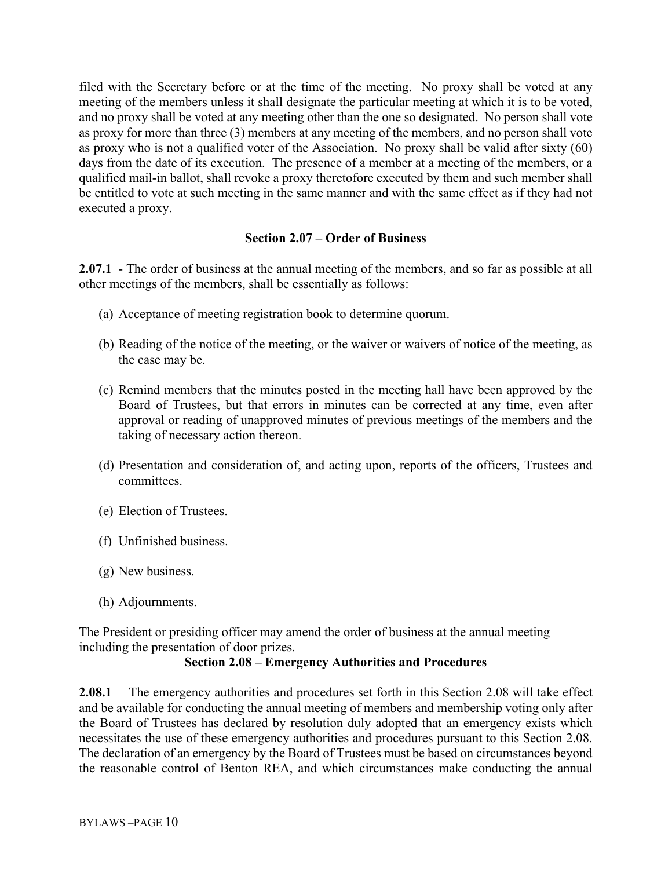filed with the Secretary before or at the time of the meeting. No proxy shall be voted at any meeting of the members unless it shall designate the particular meeting at which it is to be voted, and no proxy shall be voted at any meeting other than the one so designated. No person shall vote as proxy for more than three (3) members at any meeting of the members, and no person shall vote as proxy who is not a qualified voter of the Association. No proxy shall be valid after sixty (60) days from the date of its execution. The presence of a member at a meeting of the members, or a qualified mail-in ballot, shall revoke a proxy theretofore executed by them and such member shall be entitled to vote at such meeting in the same manner and with the same effect as if they had not executed a proxy.

## **Section 2.07 – Order of Business**

**2.07.1** - The order of business at the annual meeting of the members, and so far as possible at all other meetings of the members, shall be essentially as follows:

- (a) Acceptance of meeting registration book to determine quorum.
- (b) Reading of the notice of the meeting, or the waiver or waivers of notice of the meeting, as the case may be.
- (c) Remind members that the minutes posted in the meeting hall have been approved by the Board of Trustees, but that errors in minutes can be corrected at any time, even after approval or reading of unapproved minutes of previous meetings of the members and the taking of necessary action thereon.
- (d) Presentation and consideration of, and acting upon, reports of the officers, Trustees and committees.
- (e) Election of Trustees.
- (f) Unfinished business.
- (g) New business.
- (h) Adjournments.

The President or presiding officer may amend the order of business at the annual meeting including the presentation of door prizes.

### **Section 2.08 – Emergency Authorities and Procedures**

**2.08.1** – The emergency authorities and procedures set forth in this Section 2.08 will take effect and be available for conducting the annual meeting of members and membership voting only after the Board of Trustees has declared by resolution duly adopted that an emergency exists which necessitates the use of these emergency authorities and procedures pursuant to this Section 2.08. The declaration of an emergency by the Board of Trustees must be based on circumstances beyond the reasonable control of Benton REA, and which circumstances make conducting the annual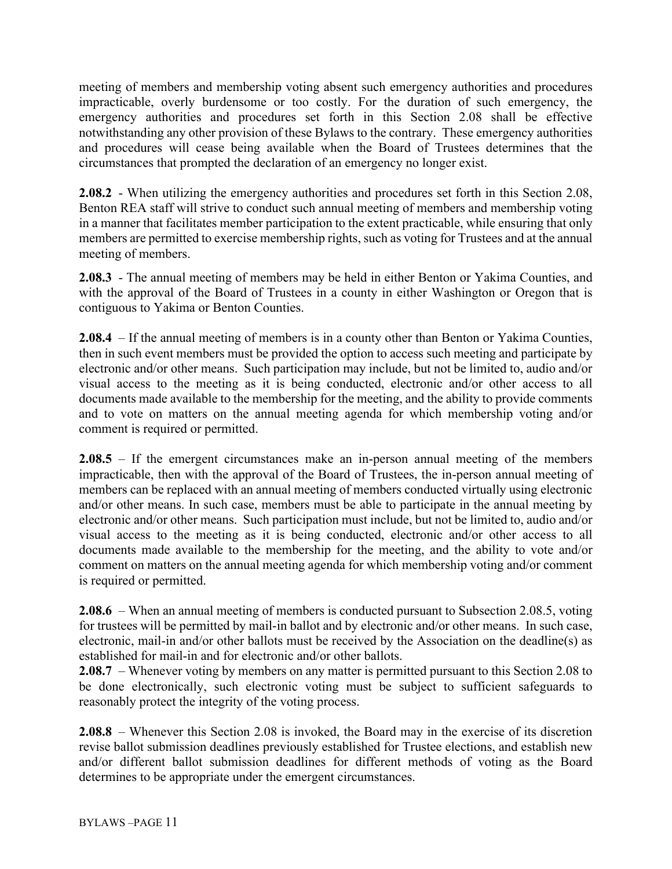meeting of members and membership voting absent such emergency authorities and procedures impracticable, overly burdensome or too costly. For the duration of such emergency, the emergency authorities and procedures set forth in this Section 2.08 shall be effective notwithstanding any other provision of these Bylaws to the contrary. These emergency authorities and procedures will cease being available when the Board of Trustees determines that the circumstances that prompted the declaration of an emergency no longer exist.

**2.08.2** - When utilizing the emergency authorities and procedures set forth in this Section 2.08, Benton REA staff will strive to conduct such annual meeting of members and membership voting in a manner that facilitates member participation to the extent practicable, while ensuring that only members are permitted to exercise membership rights, such as voting for Trustees and at the annual meeting of members.

**2.08.3** - The annual meeting of members may be held in either Benton or Yakima Counties, and with the approval of the Board of Trustees in a county in either Washington or Oregon that is contiguous to Yakima or Benton Counties.

**2.08.4** – If the annual meeting of members is in a county other than Benton or Yakima Counties, then in such event members must be provided the option to access such meeting and participate by electronic and/or other means. Such participation may include, but not be limited to, audio and/or visual access to the meeting as it is being conducted, electronic and/or other access to all documents made available to the membership for the meeting, and the ability to provide comments and to vote on matters on the annual meeting agenda for which membership voting and/or comment is required or permitted.

**2.08.5** – If the emergent circumstances make an in-person annual meeting of the members impracticable, then with the approval of the Board of Trustees, the in-person annual meeting of members can be replaced with an annual meeting of members conducted virtually using electronic and/or other means. In such case, members must be able to participate in the annual meeting by electronic and/or other means. Such participation must include, but not be limited to, audio and/or visual access to the meeting as it is being conducted, electronic and/or other access to all documents made available to the membership for the meeting, and the ability to vote and/or comment on matters on the annual meeting agenda for which membership voting and/or comment is required or permitted.

**2.08.6** – When an annual meeting of members is conducted pursuant to Subsection 2.08.5, voting for trustees will be permitted by mail-in ballot and by electronic and/or other means. In such case, electronic, mail-in and/or other ballots must be received by the Association on the deadline(s) as established for mail-in and for electronic and/or other ballots.

**2.08.7** – Whenever voting by members on any matter is permitted pursuant to this Section 2.08 to be done electronically, such electronic voting must be subject to sufficient safeguards to reasonably protect the integrity of the voting process.

**2.08.8** – Whenever this Section 2.08 is invoked, the Board may in the exercise of its discretion revise ballot submission deadlines previously established for Trustee elections, and establish new and/or different ballot submission deadlines for different methods of voting as the Board determines to be appropriate under the emergent circumstances.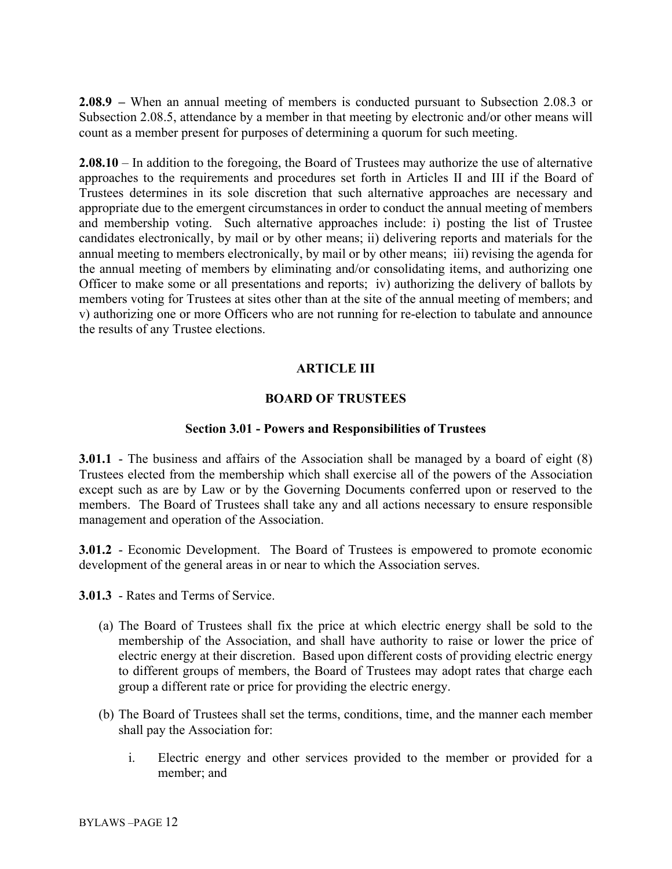**2.08.9 –** When an annual meeting of members is conducted pursuant to Subsection 2.08.3 or Subsection 2.08.5, attendance by a member in that meeting by electronic and/or other means will count as a member present for purposes of determining a quorum for such meeting.

**2.08.10** – In addition to the foregoing, the Board of Trustees may authorize the use of alternative approaches to the requirements and procedures set forth in Articles II and III if the Board of Trustees determines in its sole discretion that such alternative approaches are necessary and appropriate due to the emergent circumstances in order to conduct the annual meeting of members and membership voting. Such alternative approaches include: i) posting the list of Trustee candidates electronically, by mail or by other means; ii) delivering reports and materials for the annual meeting to members electronically, by mail or by other means; iii) revising the agenda for the annual meeting of members by eliminating and/or consolidating items, and authorizing one Officer to make some or all presentations and reports; iv) authorizing the delivery of ballots by members voting for Trustees at sites other than at the site of the annual meeting of members; and v) authorizing one or more Officers who are not running for re-election to tabulate and announce the results of any Trustee elections.

# **ARTICLE III**

# **BOARD OF TRUSTEES**

### **Section 3.01 - Powers and Responsibilities of Trustees**

**3.01.1** - The business and affairs of the Association shall be managed by a board of eight (8) Trustees elected from the membership which shall exercise all of the powers of the Association except such as are by Law or by the Governing Documents conferred upon or reserved to the members. The Board of Trustees shall take any and all actions necessary to ensure responsible management and operation of the Association.

**3.01.2** - Economic Development. The Board of Trustees is empowered to promote economic development of the general areas in or near to which the Association serves.

**3.01.3** - Rates and Terms of Service.

- (a) The Board of Trustees shall fix the price at which electric energy shall be sold to the membership of the Association, and shall have authority to raise or lower the price of electric energy at their discretion. Based upon different costs of providing electric energy to different groups of members, the Board of Trustees may adopt rates that charge each group a different rate or price for providing the electric energy.
- (b) The Board of Trustees shall set the terms, conditions, time, and the manner each member shall pay the Association for:
	- i. Electric energy and other services provided to the member or provided for a member; and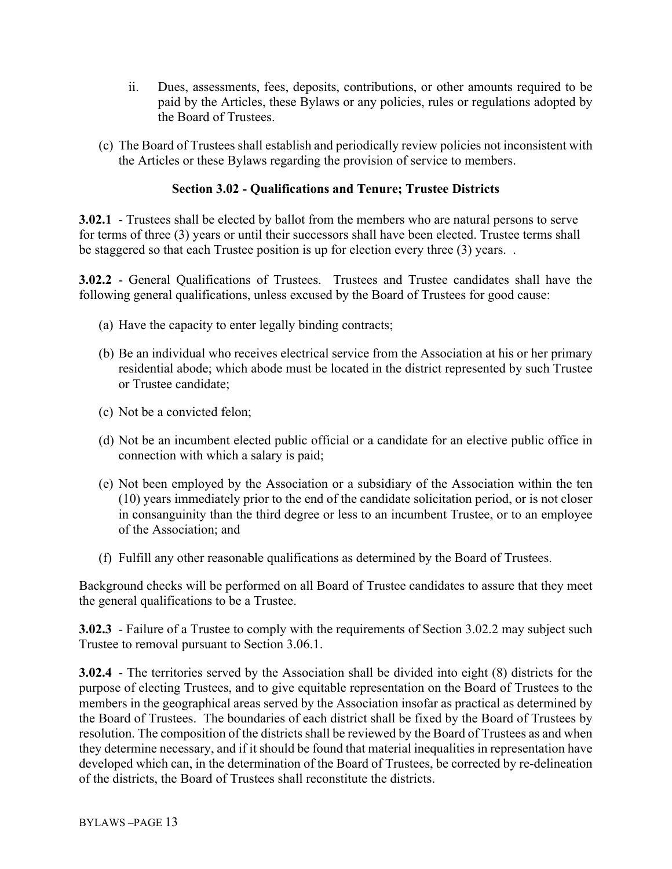- ii. Dues, assessments, fees, deposits, contributions, or other amounts required to be paid by the Articles, these Bylaws or any policies, rules or regulations adopted by the Board of Trustees.
- (c) The Board of Trustees shall establish and periodically review policies not inconsistent with the Articles or these Bylaws regarding the provision of service to members.

## **Section 3.02 - Qualifications and Tenure; Trustee Districts**

**3.02.1** - Trustees shall be elected by ballot from the members who are natural persons to serve for terms of three (3) years or until their successors shall have been elected. Trustee terms shall be staggered so that each Trustee position is up for election every three (3) years. .

**3.02.2** - General Qualifications of Trustees. Trustees and Trustee candidates shall have the following general qualifications, unless excused by the Board of Trustees for good cause:

- (a) Have the capacity to enter legally binding contracts;
- (b) Be an individual who receives electrical service from the Association at his or her primary residential abode; which abode must be located in the district represented by such Trustee or Trustee candidate;
- (c) Not be a convicted felon;
- (d) Not be an incumbent elected public official or a candidate for an elective public office in connection with which a salary is paid;
- (e) Not been employed by the Association or a subsidiary of the Association within the ten (10) years immediately prior to the end of the candidate solicitation period, or is not closer in consanguinity than the third degree or less to an incumbent Trustee, or to an employee of the Association; and
- (f) Fulfill any other reasonable qualifications as determined by the Board of Trustees.

Background checks will be performed on all Board of Trustee candidates to assure that they meet the general qualifications to be a Trustee.

**3.02.3** - Failure of a Trustee to comply with the requirements of Section 3.02.2 may subject such Trustee to removal pursuant to Section 3.06.1.

**3.02.4** - The territories served by the Association shall be divided into eight (8) districts for the purpose of electing Trustees, and to give equitable representation on the Board of Trustees to the members in the geographical areas served by the Association insofar as practical as determined by the Board of Trustees. The boundaries of each district shall be fixed by the Board of Trustees by resolution. The composition of the districts shall be reviewed by the Board of Trustees as and when they determine necessary, and if it should be found that material inequalities in representation have developed which can, in the determination of the Board of Trustees, be corrected by re-delineation of the districts, the Board of Trustees shall reconstitute the districts.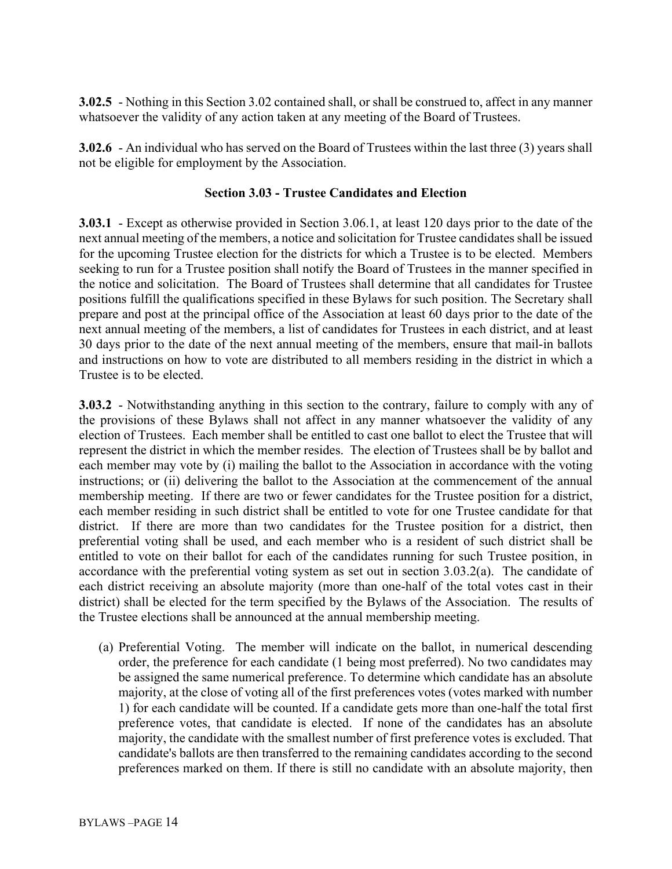**3.02.5** - Nothing in this Section 3.02 contained shall, or shall be construed to, affect in any manner whatsoever the validity of any action taken at any meeting of the Board of Trustees.

**3.02.6** - An individual who has served on the Board of Trustees within the last three (3) years shall not be eligible for employment by the Association.

## **Section 3.03 - Trustee Candidates and Election**

**3.03.1** - Except as otherwise provided in Section 3.06.1, at least 120 days prior to the date of the next annual meeting of the members, a notice and solicitation for Trustee candidates shall be issued for the upcoming Trustee election for the districts for which a Trustee is to be elected. Members seeking to run for a Trustee position shall notify the Board of Trustees in the manner specified in the notice and solicitation. The Board of Trustees shall determine that all candidates for Trustee positions fulfill the qualifications specified in these Bylaws for such position. The Secretary shall prepare and post at the principal office of the Association at least 60 days prior to the date of the next annual meeting of the members, a list of candidates for Trustees in each district, and at least 30 days prior to the date of the next annual meeting of the members, ensure that mail-in ballots and instructions on how to vote are distributed to all members residing in the district in which a Trustee is to be elected.

**3.03.2** - Notwithstanding anything in this section to the contrary, failure to comply with any of the provisions of these Bylaws shall not affect in any manner whatsoever the validity of any election of Trustees. Each member shall be entitled to cast one ballot to elect the Trustee that will represent the district in which the member resides. The election of Trustees shall be by ballot and each member may vote by (i) mailing the ballot to the Association in accordance with the voting instructions; or (ii) delivering the ballot to the Association at the commencement of the annual membership meeting. If there are two or fewer candidates for the Trustee position for a district, each member residing in such district shall be entitled to vote for one Trustee candidate for that district. If there are more than two candidates for the Trustee position for a district, then preferential voting shall be used, and each member who is a resident of such district shall be entitled to vote on their ballot for each of the candidates running for such Trustee position, in accordance with the preferential voting system as set out in section 3.03.2(a). The candidate of each district receiving an absolute majority (more than one-half of the total votes cast in their district) shall be elected for the term specified by the Bylaws of the Association. The results of the Trustee elections shall be announced at the annual membership meeting.

(a) Preferential Voting. The member will indicate on the ballot, in numerical descending order, the preference for each candidate (1 being most preferred). No two candidates may be assigned the same numerical preference. To determine which candidate has an absolute majority, at the close of voting all of the first preferences votes (votes marked with number 1) for each candidate will be counted. If a candidate gets more than one-half the total first preference votes, that candidate is elected. If none of the candidates has an absolute majority, the candidate with the smallest number of first preference votes is excluded. That candidate's ballots are then transferred to the remaining candidates according to the second preferences marked on them. If there is still no candidate with an absolute majority, then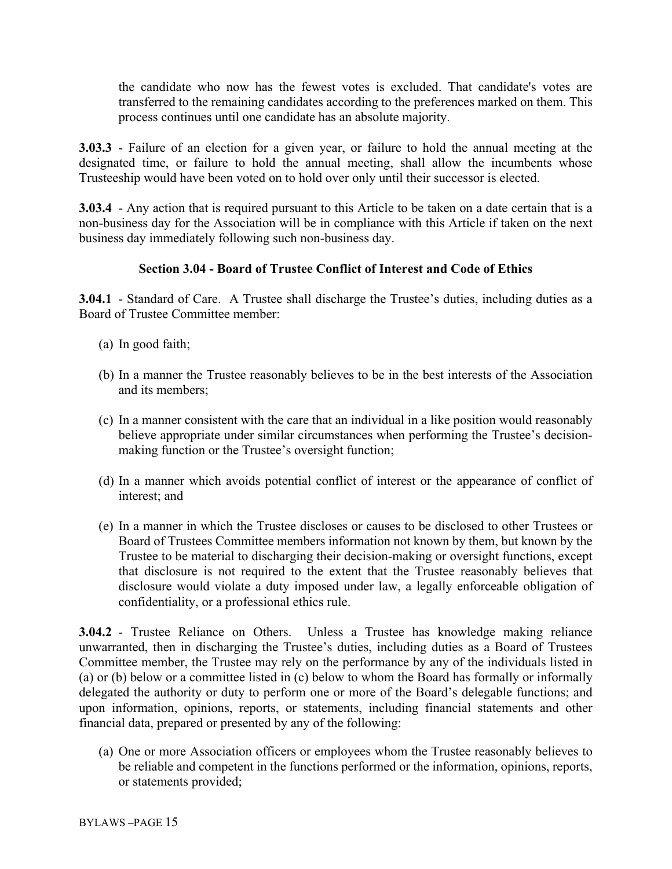the candidate who now has the fewest votes is excluded. That candidate's votes are transferred to the remaining candidates according to the preferences marked on them. This process continues until one candidate has an absolute majority.

**3.03.3** - Failure of an election for a given year, or failure to hold the annual meeting at the designated time, or failure to hold the annual meeting, shall allow the incumbents whose Trusteeship would have been voted on to hold over only until their successor is elected.

**3.03.4** - Any action that is required pursuant to this Article to be taken on a date certain that is a non-business day for the Association will be in compliance with this Article if taken on the next business day immediately following such non-business day.

# **Section 3.04 - Board of Trustee Conflict of Interest and Code of Ethics**

**3.04.1** - Standard of Care. A Trustee shall discharge the Trustee's duties, including duties as a Board of Trustee Committee member:

- (a) In good faith;
- (b) In a manner the Trustee reasonably believes to be in the best interests of the Association and its members;
- (c) In a manner consistent with the care that an individual in a like position would reasonably believe appropriate under similar circumstances when performing the Trustee's decisionmaking function or the Trustee's oversight function;
- (d) In a manner which avoids potential conflict of interest or the appearance of conflict of interest; and
- (e) In a manner in which the Trustee discloses or causes to be disclosed to other Trustees or Board of Trustees Committee members information not known by them, but known by the Trustee to be material to discharging their decision-making or oversight functions, except that disclosure is not required to the extent that the Trustee reasonably believes that disclosure would violate a duty imposed under law, a legally enforceable obligation of confidentiality, or a professional ethics rule.

**3.04.2** - Trustee Reliance on Others. Unless a Trustee has knowledge making reliance unwarranted, then in discharging the Trustee's duties, including duties as a Board of Trustees Committee member, the Trustee may rely on the performance by any of the individuals listed in (a) or (b) below or a committee listed in (c) below to whom the Board has formally or informally delegated the authority or duty to perform one or more of the Board's delegable functions; and upon information, opinions, reports, or statements, including financial statements and other financial data, prepared or presented by any of the following:

(a) One or more Association officers or employees whom the Trustee reasonably believes to be reliable and competent in the functions performed or the information, opinions, reports, or statements provided;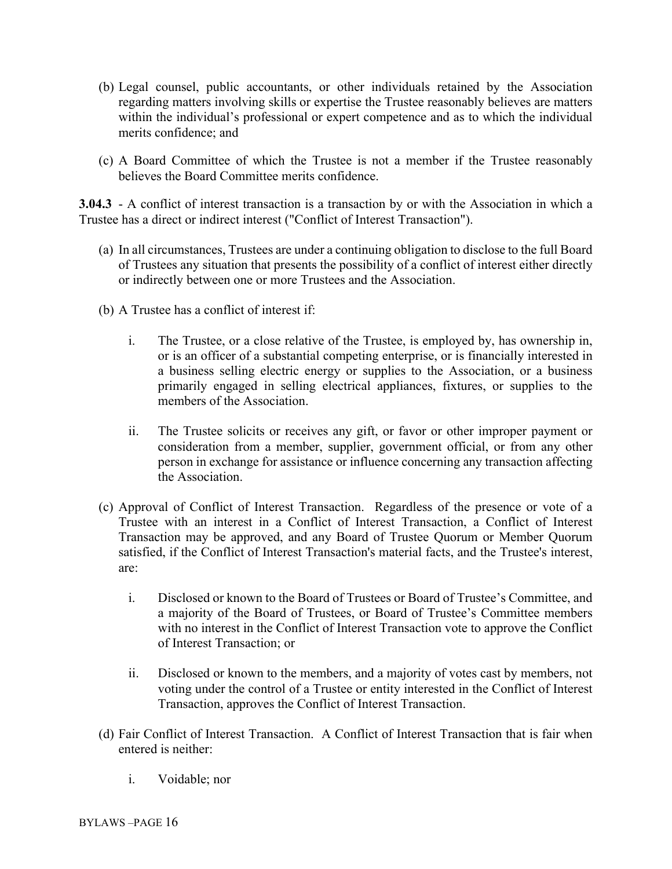- (b) Legal counsel, public accountants, or other individuals retained by the Association regarding matters involving skills or expertise the Trustee reasonably believes are matters within the individual's professional or expert competence and as to which the individual merits confidence; and
- (c) A Board Committee of which the Trustee is not a member if the Trustee reasonably believes the Board Committee merits confidence.

**3.04.3** - A conflict of interest transaction is a transaction by or with the Association in which a Trustee has a direct or indirect interest ("Conflict of Interest Transaction").

- (a) In all circumstances, Trustees are under a continuing obligation to disclose to the full Board of Trustees any situation that presents the possibility of a conflict of interest either directly or indirectly between one or more Trustees and the Association.
- (b) A Trustee has a conflict of interest if:
	- i. The Trustee, or a close relative of the Trustee, is employed by, has ownership in, or is an officer of a substantial competing enterprise, or is financially interested in a business selling electric energy or supplies to the Association, or a business primarily engaged in selling electrical appliances, fixtures, or supplies to the members of the Association.
	- ii. The Trustee solicits or receives any gift, or favor or other improper payment or consideration from a member, supplier, government official, or from any other person in exchange for assistance or influence concerning any transaction affecting the Association.
- (c) Approval of Conflict of Interest Transaction. Regardless of the presence or vote of a Trustee with an interest in a Conflict of Interest Transaction, a Conflict of Interest Transaction may be approved, and any Board of Trustee Quorum or Member Quorum satisfied, if the Conflict of Interest Transaction's material facts, and the Trustee's interest, are:
	- i. Disclosed or known to the Board of Trustees or Board of Trustee's Committee, and a majority of the Board of Trustees, or Board of Trustee's Committee members with no interest in the Conflict of Interest Transaction vote to approve the Conflict of Interest Transaction; or
	- ii. Disclosed or known to the members, and a majority of votes cast by members, not voting under the control of a Trustee or entity interested in the Conflict of Interest Transaction, approves the Conflict of Interest Transaction.
- (d) Fair Conflict of Interest Transaction. A Conflict of Interest Transaction that is fair when entered is neither:
	- i. Voidable; nor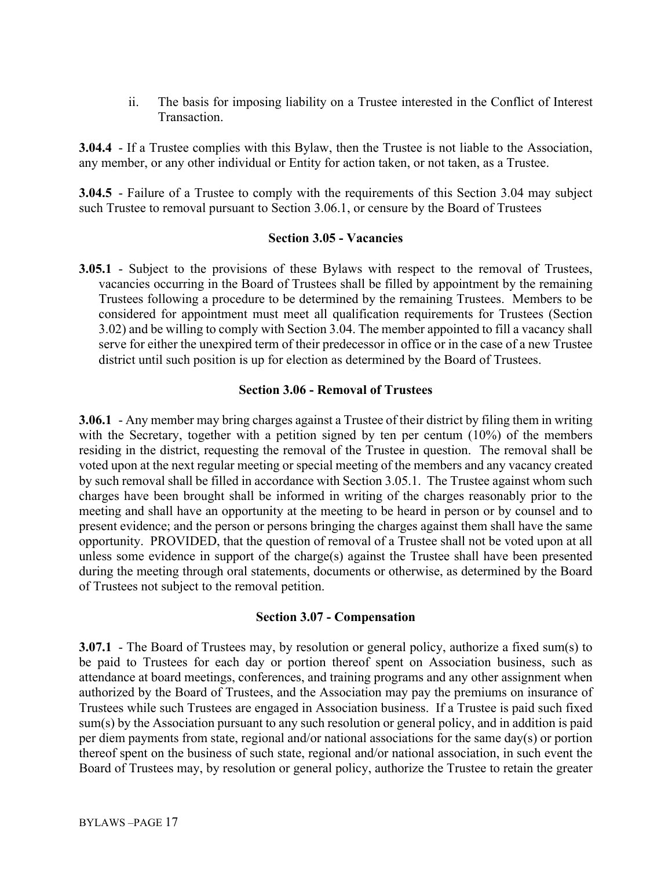ii. The basis for imposing liability on a Trustee interested in the Conflict of Interest Transaction.

**3.04.4** - If a Trustee complies with this Bylaw, then the Trustee is not liable to the Association, any member, or any other individual or Entity for action taken, or not taken, as a Trustee.

**3.04.5** - Failure of a Trustee to comply with the requirements of this Section 3.04 may subject such Trustee to removal pursuant to Section 3.06.1, or censure by the Board of Trustees

#### **Section 3.05 - Vacancies**

**3.05.1** - Subject to the provisions of these Bylaws with respect to the removal of Trustees, vacancies occurring in the Board of Trustees shall be filled by appointment by the remaining Trustees following a procedure to be determined by the remaining Trustees. Members to be considered for appointment must meet all qualification requirements for Trustees (Section 3.02) and be willing to comply with Section 3.04. The member appointed to fill a vacancy shall serve for either the unexpired term of their predecessor in office or in the case of a new Trustee district until such position is up for election as determined by the Board of Trustees.

### **Section 3.06 - Removal of Trustees**

**3.06.1** - Any member may bring charges against a Trustee of their district by filing them in writing with the Secretary, together with a petition signed by ten per centum (10%) of the members residing in the district, requesting the removal of the Trustee in question. The removal shall be voted upon at the next regular meeting or special meeting of the members and any vacancy created by such removal shall be filled in accordance with Section 3.05.1. The Trustee against whom such charges have been brought shall be informed in writing of the charges reasonably prior to the meeting and shall have an opportunity at the meeting to be heard in person or by counsel and to present evidence; and the person or persons bringing the charges against them shall have the same opportunity. PROVIDED, that the question of removal of a Trustee shall not be voted upon at all unless some evidence in support of the charge(s) against the Trustee shall have been presented during the meeting through oral statements, documents or otherwise, as determined by the Board of Trustees not subject to the removal petition.

#### **Section 3.07 - Compensation**

**3.07.1** - The Board of Trustees may, by resolution or general policy, authorize a fixed sum(s) to be paid to Trustees for each day or portion thereof spent on Association business, such as attendance at board meetings, conferences, and training programs and any other assignment when authorized by the Board of Trustees, and the Association may pay the premiums on insurance of Trustees while such Trustees are engaged in Association business. If a Trustee is paid such fixed sum(s) by the Association pursuant to any such resolution or general policy, and in addition is paid per diem payments from state, regional and/or national associations for the same day(s) or portion thereof spent on the business of such state, regional and/or national association, in such event the Board of Trustees may, by resolution or general policy, authorize the Trustee to retain the greater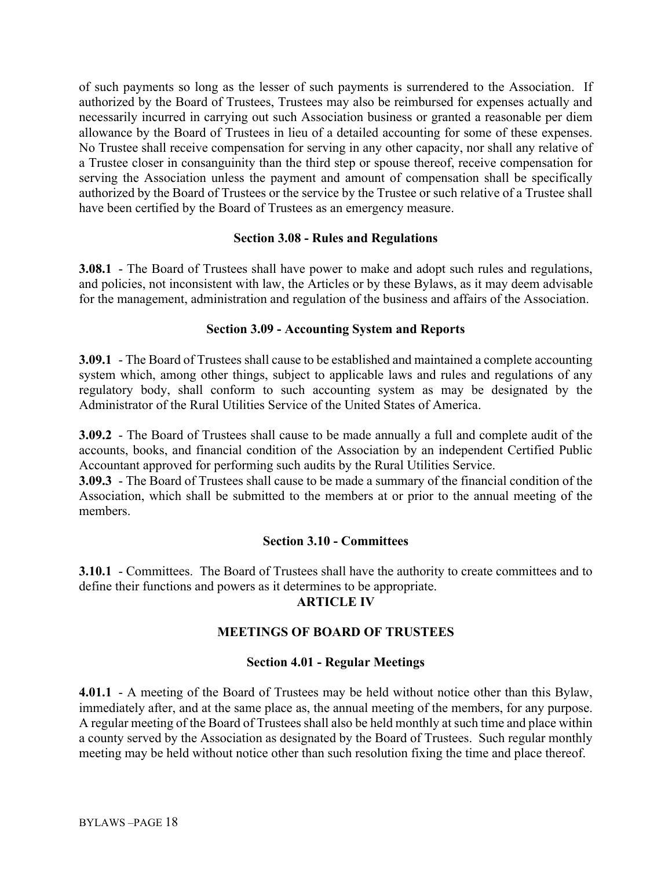of such payments so long as the lesser of such payments is surrendered to the Association. If authorized by the Board of Trustees, Trustees may also be reimbursed for expenses actually and necessarily incurred in carrying out such Association business or granted a reasonable per diem allowance by the Board of Trustees in lieu of a detailed accounting for some of these expenses. No Trustee shall receive compensation for serving in any other capacity, nor shall any relative of a Trustee closer in consanguinity than the third step or spouse thereof, receive compensation for serving the Association unless the payment and amount of compensation shall be specifically authorized by the Board of Trustees or the service by the Trustee or such relative of a Trustee shall have been certified by the Board of Trustees as an emergency measure.

### **Section 3.08 - Rules and Regulations**

**3.08.1** - The Board of Trustees shall have power to make and adopt such rules and regulations, and policies, not inconsistent with law, the Articles or by these Bylaws, as it may deem advisable for the management, administration and regulation of the business and affairs of the Association.

### **Section 3.09 - Accounting System and Reports**

**3.09.1** - The Board of Trustees shall cause to be established and maintained a complete accounting system which, among other things, subject to applicable laws and rules and regulations of any regulatory body, shall conform to such accounting system as may be designated by the Administrator of the Rural Utilities Service of the United States of America.

**3.09.2** - The Board of Trustees shall cause to be made annually a full and complete audit of the accounts, books, and financial condition of the Association by an independent Certified Public Accountant approved for performing such audits by the Rural Utilities Service.

**3.09.3** - The Board of Trustees shall cause to be made a summary of the financial condition of the Association, which shall be submitted to the members at or prior to the annual meeting of the members.

### **Section 3.10 - Committees**

**3.10.1** - Committees. The Board of Trustees shall have the authority to create committees and to define their functions and powers as it determines to be appropriate.

### **ARTICLE IV**

# **MEETINGS OF BOARD OF TRUSTEES**

### **Section 4.01 - Regular Meetings**

**4.01.1** - A meeting of the Board of Trustees may be held without notice other than this Bylaw, immediately after, and at the same place as, the annual meeting of the members, for any purpose. A regular meeting of the Board of Trustees shall also be held monthly at such time and place within a county served by the Association as designated by the Board of Trustees. Such regular monthly meeting may be held without notice other than such resolution fixing the time and place thereof.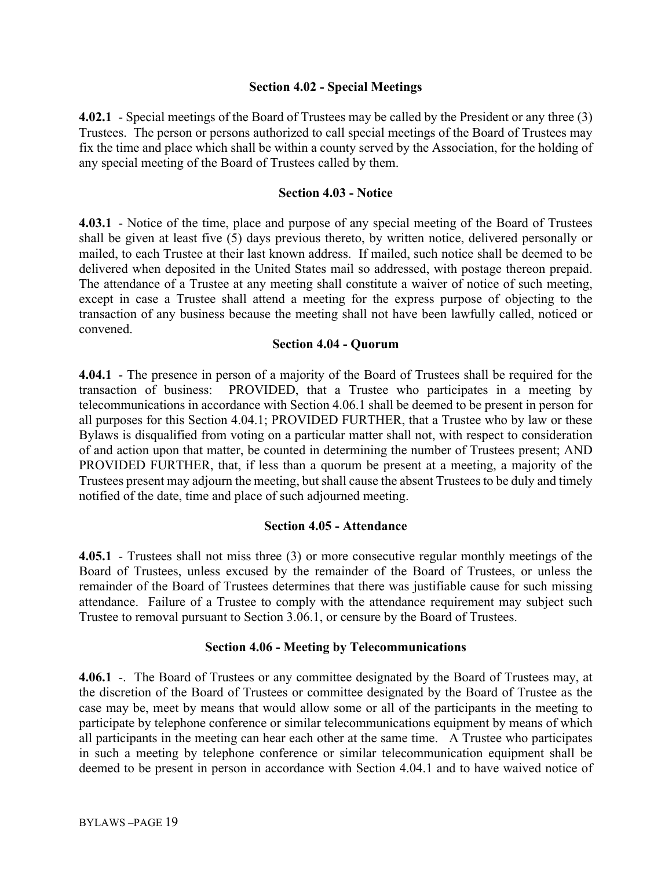### **Section 4.02 - Special Meetings**

**4.02.1** - Special meetings of the Board of Trustees may be called by the President or any three (3) Trustees. The person or persons authorized to call special meetings of the Board of Trustees may fix the time and place which shall be within a county served by the Association, for the holding of any special meeting of the Board of Trustees called by them.

### **Section 4.03 - Notice**

**4.03.1** - Notice of the time, place and purpose of any special meeting of the Board of Trustees shall be given at least five (5) days previous thereto, by written notice, delivered personally or mailed, to each Trustee at their last known address. If mailed, such notice shall be deemed to be delivered when deposited in the United States mail so addressed, with postage thereon prepaid. The attendance of a Trustee at any meeting shall constitute a waiver of notice of such meeting, except in case a Trustee shall attend a meeting for the express purpose of objecting to the transaction of any business because the meeting shall not have been lawfully called, noticed or convened.

### **Section 4.04 - Quorum**

**4.04.1** - The presence in person of a majority of the Board of Trustees shall be required for the transaction of business: PROVIDED, that a Trustee who participates in a meeting by telecommunications in accordance with Section 4.06.1 shall be deemed to be present in person for all purposes for this Section 4.04.1; PROVIDED FURTHER, that a Trustee who by law or these Bylaws is disqualified from voting on a particular matter shall not, with respect to consideration of and action upon that matter, be counted in determining the number of Trustees present; AND PROVIDED FURTHER, that, if less than a quorum be present at a meeting, a majority of the Trustees present may adjourn the meeting, but shall cause the absent Trustees to be duly and timely notified of the date, time and place of such adjourned meeting.

### **Section 4.05 - Attendance**

**4.05.1** - Trustees shall not miss three (3) or more consecutive regular monthly meetings of the Board of Trustees, unless excused by the remainder of the Board of Trustees, or unless the remainder of the Board of Trustees determines that there was justifiable cause for such missing attendance. Failure of a Trustee to comply with the attendance requirement may subject such Trustee to removal pursuant to Section 3.06.1, or censure by the Board of Trustees.

### **Section 4.06 - Meeting by Telecommunications**

**4.06.1** -. The Board of Trustees or any committee designated by the Board of Trustees may, at the discretion of the Board of Trustees or committee designated by the Board of Trustee as the case may be, meet by means that would allow some or all of the participants in the meeting to participate by telephone conference or similar telecommunications equipment by means of which all participants in the meeting can hear each other at the same time. A Trustee who participates in such a meeting by telephone conference or similar telecommunication equipment shall be deemed to be present in person in accordance with Section 4.04.1 and to have waived notice of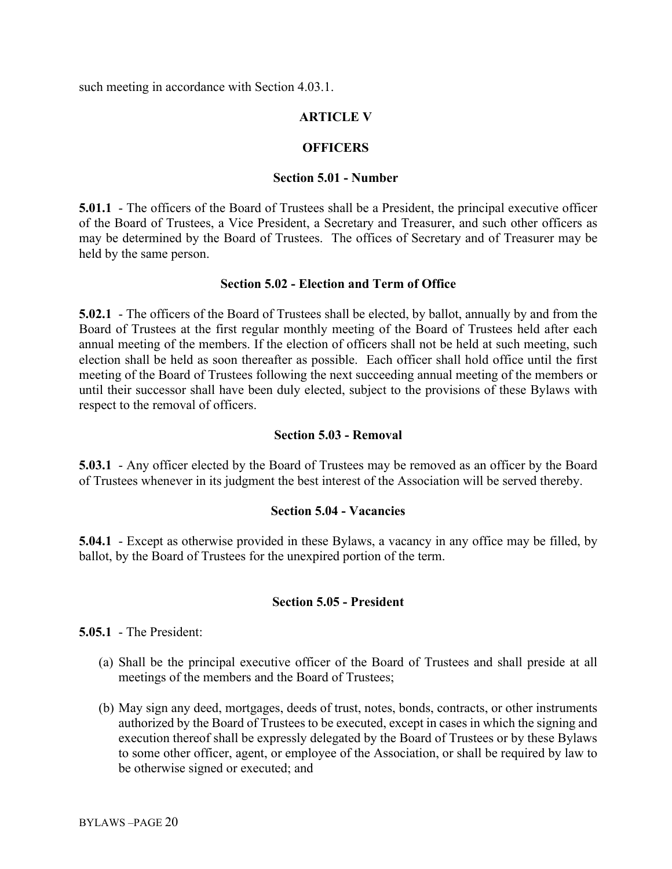such meeting in accordance with Section 4.03.1.

## **ARTICLE V**

## **OFFICERS**

#### **Section 5.01 - Number**

**5.01.1** - The officers of the Board of Trustees shall be a President, the principal executive officer of the Board of Trustees, a Vice President, a Secretary and Treasurer, and such other officers as may be determined by the Board of Trustees. The offices of Secretary and of Treasurer may be held by the same person.

### **Section 5.02 - Election and Term of Office**

**5.02.1** - The officers of the Board of Trustees shall be elected, by ballot, annually by and from the Board of Trustees at the first regular monthly meeting of the Board of Trustees held after each annual meeting of the members. If the election of officers shall not be held at such meeting, such election shall be held as soon thereafter as possible. Each officer shall hold office until the first meeting of the Board of Trustees following the next succeeding annual meeting of the members or until their successor shall have been duly elected, subject to the provisions of these Bylaws with respect to the removal of officers.

#### **Section 5.03 - Removal**

**5.03.1** - Any officer elected by the Board of Trustees may be removed as an officer by the Board of Trustees whenever in its judgment the best interest of the Association will be served thereby.

#### **Section 5.04 - Vacancies**

**5.04.1** - Except as otherwise provided in these Bylaws, a vacancy in any office may be filled, by ballot, by the Board of Trustees for the unexpired portion of the term.

### **Section 5.05 - President**

**5.05.1** - The President:

- (a) Shall be the principal executive officer of the Board of Trustees and shall preside at all meetings of the members and the Board of Trustees;
- (b) May sign any deed, mortgages, deeds of trust, notes, bonds, contracts, or other instruments authorized by the Board of Trustees to be executed, except in cases in which the signing and execution thereof shall be expressly delegated by the Board of Trustees or by these Bylaws to some other officer, agent, or employee of the Association, or shall be required by law to be otherwise signed or executed; and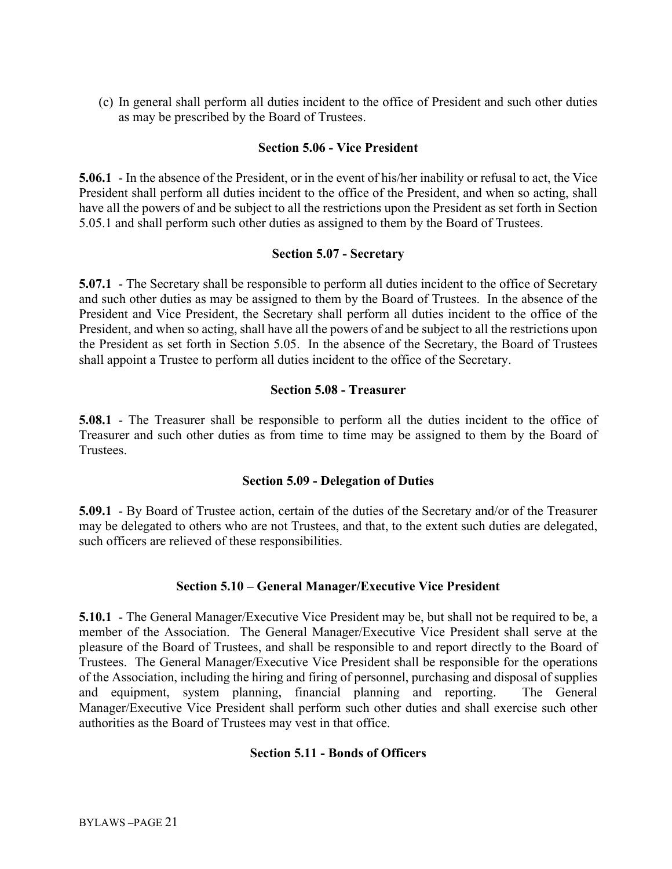(c) In general shall perform all duties incident to the office of President and such other duties as may be prescribed by the Board of Trustees.

### **Section 5.06 - Vice President**

**5.06.1** - In the absence of the President, or in the event of his/her inability or refusal to act, the Vice President shall perform all duties incident to the office of the President, and when so acting, shall have all the powers of and be subject to all the restrictions upon the President as set forth in Section 5.05.1 and shall perform such other duties as assigned to them by the Board of Trustees.

#### **Section 5.07 - Secretary**

**5.07.1** - The Secretary shall be responsible to perform all duties incident to the office of Secretary and such other duties as may be assigned to them by the Board of Trustees. In the absence of the President and Vice President, the Secretary shall perform all duties incident to the office of the President, and when so acting, shall have all the powers of and be subject to all the restrictions upon the President as set forth in Section 5.05. In the absence of the Secretary, the Board of Trustees shall appoint a Trustee to perform all duties incident to the office of the Secretary.

#### **Section 5.08 - Treasurer**

**5.08.1** - The Treasurer shall be responsible to perform all the duties incident to the office of Treasurer and such other duties as from time to time may be assigned to them by the Board of Trustees.

### **Section 5.09 - Delegation of Duties**

**5.09.1** - By Board of Trustee action, certain of the duties of the Secretary and/or of the Treasurer may be delegated to others who are not Trustees, and that, to the extent such duties are delegated, such officers are relieved of these responsibilities.

### **Section 5.10 – General Manager/Executive Vice President**

**5.10.1** - The General Manager/Executive Vice President may be, but shall not be required to be, a member of the Association. The General Manager/Executive Vice President shall serve at the pleasure of the Board of Trustees, and shall be responsible to and report directly to the Board of Trustees. The General Manager/Executive Vice President shall be responsible for the operations of the Association, including the hiring and firing of personnel, purchasing and disposal of supplies and equipment, system planning, financial planning and reporting. The General Manager/Executive Vice President shall perform such other duties and shall exercise such other authorities as the Board of Trustees may vest in that office.

### **Section 5.11 - Bonds of Officers**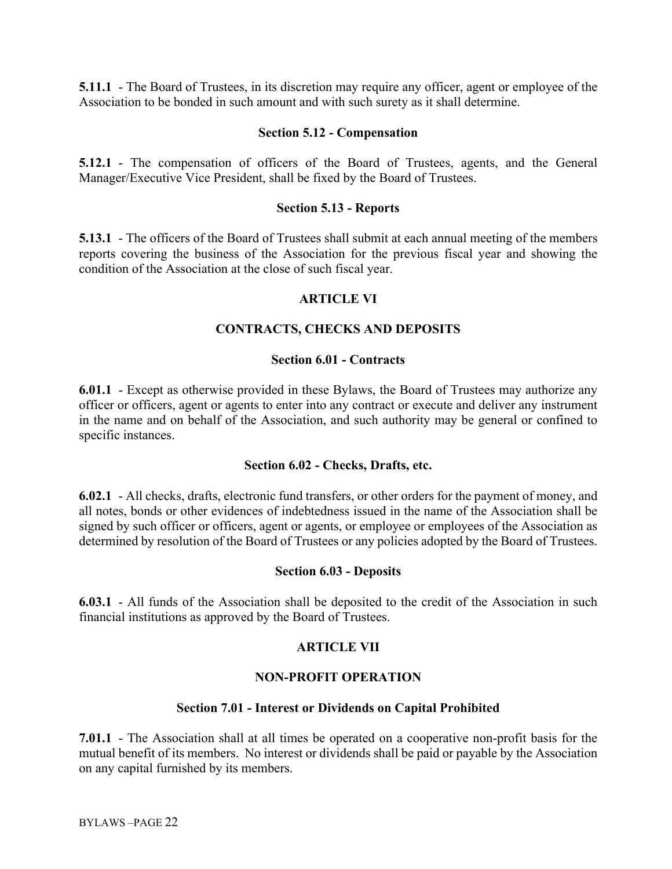**5.11.1** - The Board of Trustees, in its discretion may require any officer, agent or employee of the Association to be bonded in such amount and with such surety as it shall determine.

#### **Section 5.12 - Compensation**

**5.12.1** - The compensation of officers of the Board of Trustees, agents, and the General Manager/Executive Vice President, shall be fixed by the Board of Trustees.

#### **Section 5.13 - Reports**

**5.13.1** - The officers of the Board of Trustees shall submit at each annual meeting of the members reports covering the business of the Association for the previous fiscal year and showing the condition of the Association at the close of such fiscal year.

#### **ARTICLE VI**

#### **CONTRACTS, CHECKS AND DEPOSITS**

#### **Section 6.01 - Contracts**

**6.01.1** - Except as otherwise provided in these Bylaws, the Board of Trustees may authorize any officer or officers, agent or agents to enter into any contract or execute and deliver any instrument in the name and on behalf of the Association, and such authority may be general or confined to specific instances.

#### **Section 6.02 - Checks, Drafts, etc.**

**6.02.1** - All checks, drafts, electronic fund transfers, or other orders for the payment of money, and all notes, bonds or other evidences of indebtedness issued in the name of the Association shall be signed by such officer or officers, agent or agents, or employee or employees of the Association as determined by resolution of the Board of Trustees or any policies adopted by the Board of Trustees.

#### **Section 6.03 - Deposits**

**6.03.1** - All funds of the Association shall be deposited to the credit of the Association in such financial institutions as approved by the Board of Trustees.

#### **ARTICLE VII**

#### **NON-PROFIT OPERATION**

#### **Section 7.01 - Interest or Dividends on Capital Prohibited**

**7.01.1** - The Association shall at all times be operated on a cooperative non-profit basis for the mutual benefit of its members. No interest or dividends shall be paid or payable by the Association on any capital furnished by its members.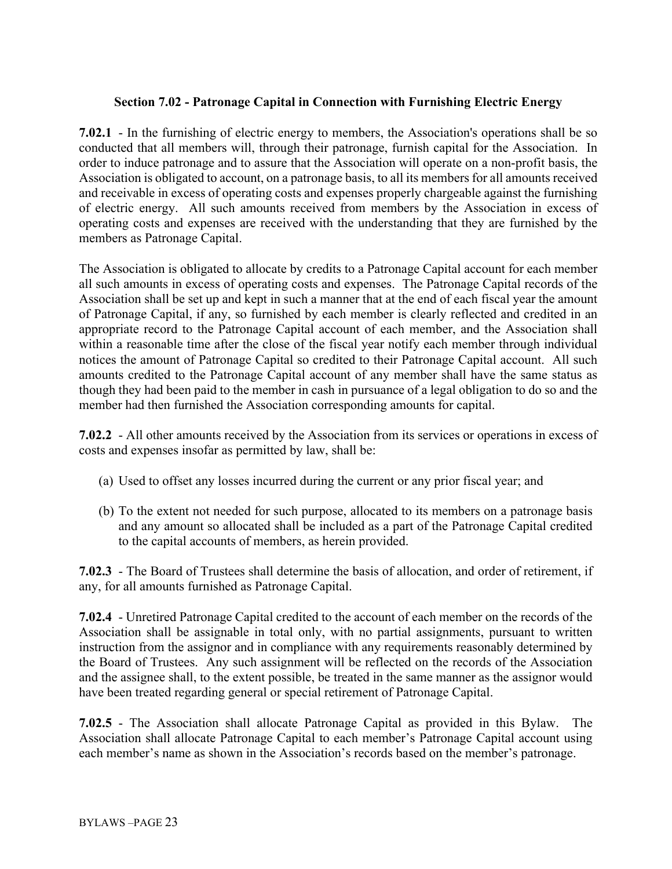## **Section 7.02 - Patronage Capital in Connection with Furnishing Electric Energy**

**7.02.1** - In the furnishing of electric energy to members, the Association's operations shall be so conducted that all members will, through their patronage, furnish capital for the Association. In order to induce patronage and to assure that the Association will operate on a non-profit basis, the Association is obligated to account, on a patronage basis, to all its members for all amounts received and receivable in excess of operating costs and expenses properly chargeable against the furnishing of electric energy. All such amounts received from members by the Association in excess of operating costs and expenses are received with the understanding that they are furnished by the members as Patronage Capital.

The Association is obligated to allocate by credits to a Patronage Capital account for each member all such amounts in excess of operating costs and expenses. The Patronage Capital records of the Association shall be set up and kept in such a manner that at the end of each fiscal year the amount of Patronage Capital, if any, so furnished by each member is clearly reflected and credited in an appropriate record to the Patronage Capital account of each member, and the Association shall within a reasonable time after the close of the fiscal year notify each member through individual notices the amount of Patronage Capital so credited to their Patronage Capital account. All such amounts credited to the Patronage Capital account of any member shall have the same status as though they had been paid to the member in cash in pursuance of a legal obligation to do so and the member had then furnished the Association corresponding amounts for capital.

**7.02.2** - All other amounts received by the Association from its services or operations in excess of costs and expenses insofar as permitted by law, shall be:

- (a) Used to offset any losses incurred during the current or any prior fiscal year; and
- (b) To the extent not needed for such purpose, allocated to its members on a patronage basis and any amount so allocated shall be included as a part of the Patronage Capital credited to the capital accounts of members, as herein provided.

**7.02.3** - The Board of Trustees shall determine the basis of allocation, and order of retirement, if any, for all amounts furnished as Patronage Capital.

**7.02.4** - Unretired Patronage Capital credited to the account of each member on the records of the Association shall be assignable in total only, with no partial assignments, pursuant to written instruction from the assignor and in compliance with any requirements reasonably determined by the Board of Trustees. Any such assignment will be reflected on the records of the Association and the assignee shall, to the extent possible, be treated in the same manner as the assignor would have been treated regarding general or special retirement of Patronage Capital.

**7.02.5** - The Association shall allocate Patronage Capital as provided in this Bylaw. The Association shall allocate Patronage Capital to each member's Patronage Capital account using each member's name as shown in the Association's records based on the member's patronage.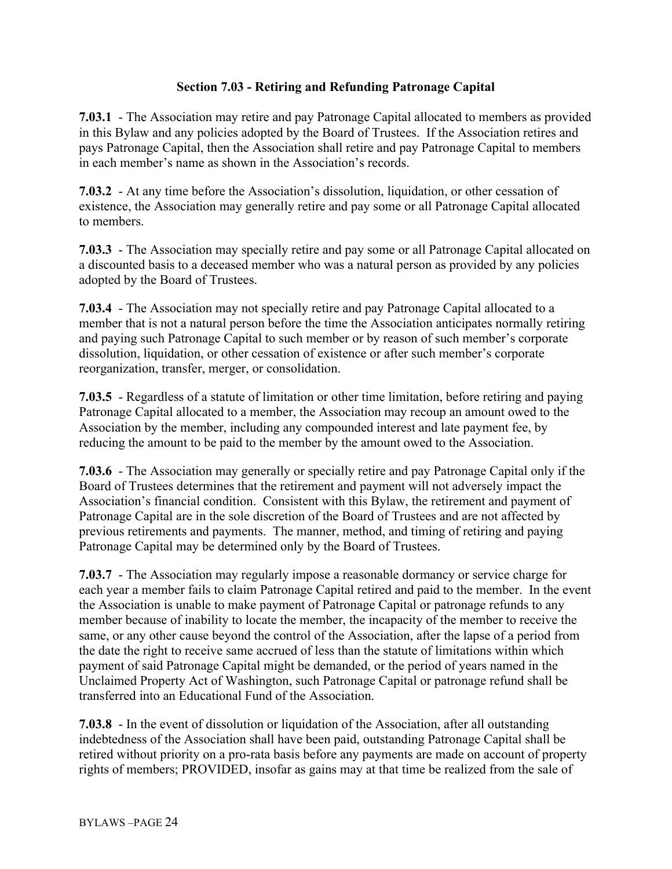## **Section 7.03 - Retiring and Refunding Patronage Capital**

**7.03.1** - The Association may retire and pay Patronage Capital allocated to members as provided in this Bylaw and any policies adopted by the Board of Trustees. If the Association retires and pays Patronage Capital, then the Association shall retire and pay Patronage Capital to members in each member's name as shown in the Association's records.

**7.03.2** - At any time before the Association's dissolution, liquidation, or other cessation of existence, the Association may generally retire and pay some or all Patronage Capital allocated to members.

**7.03.3** - The Association may specially retire and pay some or all Patronage Capital allocated on a discounted basis to a deceased member who was a natural person as provided by any policies adopted by the Board of Trustees.

**7.03.4** - The Association may not specially retire and pay Patronage Capital allocated to a member that is not a natural person before the time the Association anticipates normally retiring and paying such Patronage Capital to such member or by reason of such member's corporate dissolution, liquidation, or other cessation of existence or after such member's corporate reorganization, transfer, merger, or consolidation.

**7.03.5** - Regardless of a statute of limitation or other time limitation, before retiring and paying Patronage Capital allocated to a member, the Association may recoup an amount owed to the Association by the member, including any compounded interest and late payment fee, by reducing the amount to be paid to the member by the amount owed to the Association.

**7.03.6** - The Association may generally or specially retire and pay Patronage Capital only if the Board of Trustees determines that the retirement and payment will not adversely impact the Association's financial condition. Consistent with this Bylaw, the retirement and payment of Patronage Capital are in the sole discretion of the Board of Trustees and are not affected by previous retirements and payments. The manner, method, and timing of retiring and paying Patronage Capital may be determined only by the Board of Trustees.

**7.03.7** - The Association may regularly impose a reasonable dormancy or service charge for each year a member fails to claim Patronage Capital retired and paid to the member. In the event the Association is unable to make payment of Patronage Capital or patronage refunds to any member because of inability to locate the member, the incapacity of the member to receive the same, or any other cause beyond the control of the Association, after the lapse of a period from the date the right to receive same accrued of less than the statute of limitations within which payment of said Patronage Capital might be demanded, or the period of years named in the Unclaimed Property Act of Washington, such Patronage Capital or patronage refund shall be transferred into an Educational Fund of the Association.

**7.03.8** - In the event of dissolution or liquidation of the Association, after all outstanding indebtedness of the Association shall have been paid, outstanding Patronage Capital shall be retired without priority on a pro-rata basis before any payments are made on account of property rights of members; PROVIDED, insofar as gains may at that time be realized from the sale of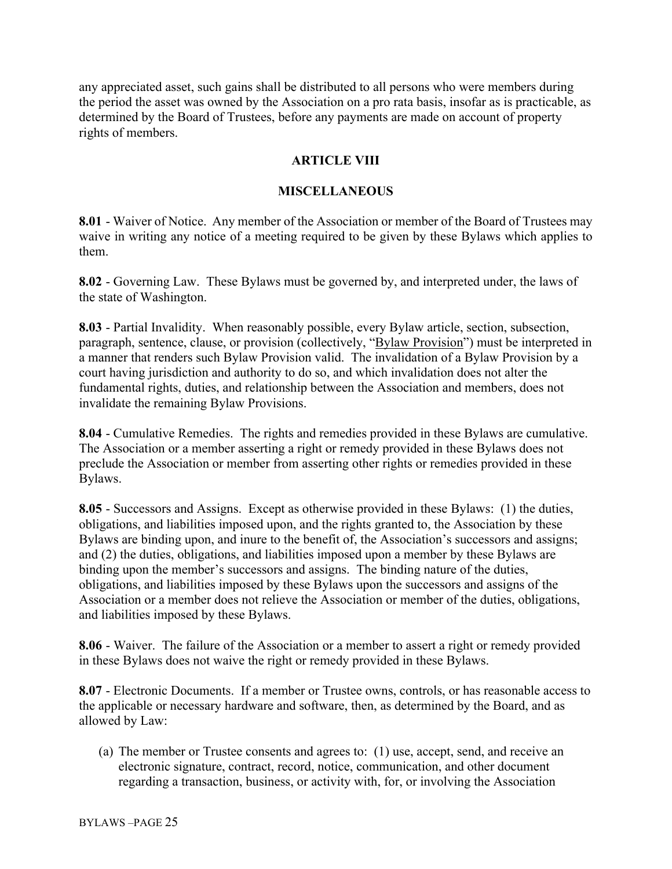any appreciated asset, such gains shall be distributed to all persons who were members during the period the asset was owned by the Association on a pro rata basis, insofar as is practicable, as determined by the Board of Trustees, before any payments are made on account of property rights of members.

# **ARTICLE VIII**

## **MISCELLANEOUS**

**8.01** - Waiver of Notice. Any member of the Association or member of the Board of Trustees may waive in writing any notice of a meeting required to be given by these Bylaws which applies to them.

**8.02** - Governing Law. These Bylaws must be governed by, and interpreted under, the laws of the state of Washington.

**8.03** - Partial Invalidity. When reasonably possible, every Bylaw article, section, subsection, paragraph, sentence, clause, or provision (collectively, "Bylaw Provision") must be interpreted in a manner that renders such Bylaw Provision valid. The invalidation of a Bylaw Provision by a court having jurisdiction and authority to do so, and which invalidation does not alter the fundamental rights, duties, and relationship between the Association and members, does not invalidate the remaining Bylaw Provisions.

**8.04** - Cumulative Remedies. The rights and remedies provided in these Bylaws are cumulative. The Association or a member asserting a right or remedy provided in these Bylaws does not preclude the Association or member from asserting other rights or remedies provided in these Bylaws.

**8.05** - Successors and Assigns. Except as otherwise provided in these Bylaws: (1) the duties, obligations, and liabilities imposed upon, and the rights granted to, the Association by these Bylaws are binding upon, and inure to the benefit of, the Association's successors and assigns; and (2) the duties, obligations, and liabilities imposed upon a member by these Bylaws are binding upon the member's successors and assigns. The binding nature of the duties, obligations, and liabilities imposed by these Bylaws upon the successors and assigns of the Association or a member does not relieve the Association or member of the duties, obligations, and liabilities imposed by these Bylaws.

**8.06** - Waiver. The failure of the Association or a member to assert a right or remedy provided in these Bylaws does not waive the right or remedy provided in these Bylaws.

**8.07** - Electronic Documents. If a member or Trustee owns, controls, or has reasonable access to the applicable or necessary hardware and software, then, as determined by the Board, and as allowed by Law:

(a) The member or Trustee consents and agrees to: (1) use, accept, send, and receive an electronic signature, contract, record, notice, communication, and other document regarding a transaction, business, or activity with, for, or involving the Association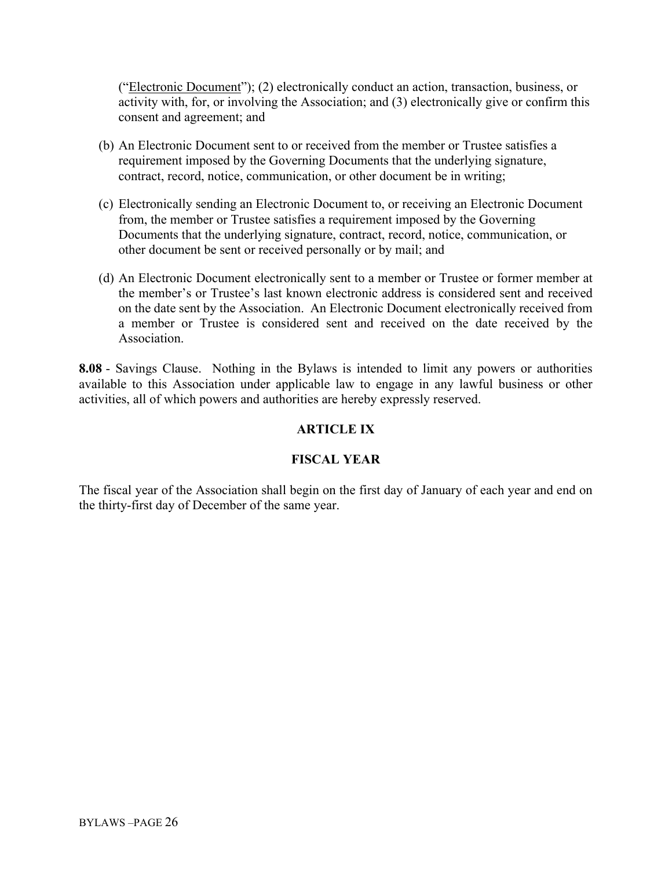("Electronic Document"); (2) electronically conduct an action, transaction, business, or activity with, for, or involving the Association; and (3) electronically give or confirm this consent and agreement; and

- (b) An Electronic Document sent to or received from the member or Trustee satisfies a requirement imposed by the Governing Documents that the underlying signature, contract, record, notice, communication, or other document be in writing;
- (c) Electronically sending an Electronic Document to, or receiving an Electronic Document from, the member or Trustee satisfies a requirement imposed by the Governing Documents that the underlying signature, contract, record, notice, communication, or other document be sent or received personally or by mail; and
- (d) An Electronic Document electronically sent to a member or Trustee or former member at the member's or Trustee's last known electronic address is considered sent and received on the date sent by the Association. An Electronic Document electronically received from a member or Trustee is considered sent and received on the date received by the Association.

**8.08** - Savings Clause. Nothing in the Bylaws is intended to limit any powers or authorities available to this Association under applicable law to engage in any lawful business or other activities, all of which powers and authorities are hereby expressly reserved.

# **ARTICLE IX**

# **FISCAL YEAR**

The fiscal year of the Association shall begin on the first day of January of each year and end on the thirty-first day of December of the same year.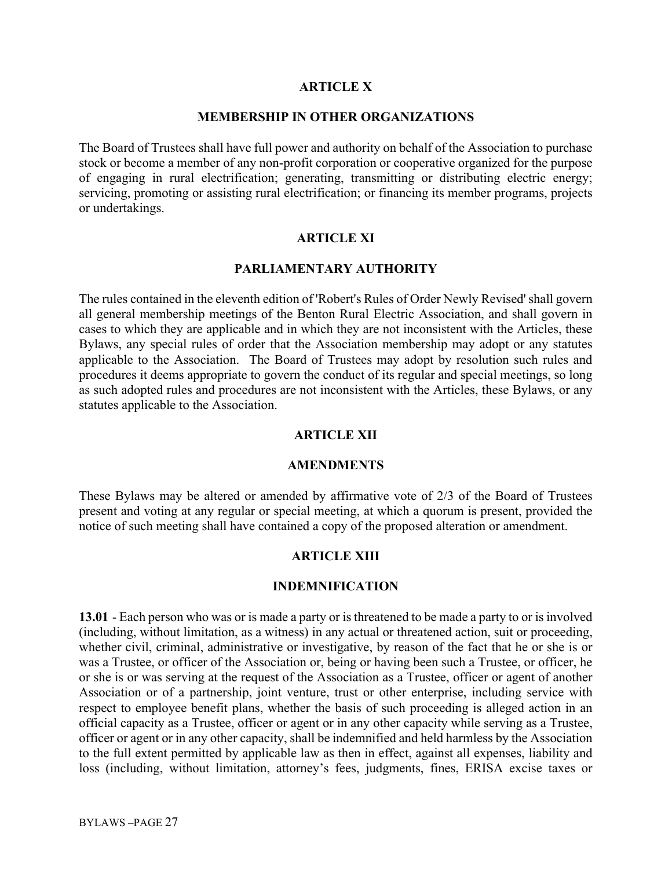#### **ARTICLE X**

#### **MEMBERSHIP IN OTHER ORGANIZATIONS**

The Board of Trustees shall have full power and authority on behalf of the Association to purchase stock or become a member of any non-profit corporation or cooperative organized for the purpose of engaging in rural electrification; generating, transmitting or distributing electric energy; servicing, promoting or assisting rural electrification; or financing its member programs, projects or undertakings.

### **ARTICLE XI**

## **PARLIAMENTARY AUTHORITY**

The rules contained in the eleventh edition of 'Robert's Rules of Order Newly Revised' shall govern all general membership meetings of the Benton Rural Electric Association, and shall govern in cases to which they are applicable and in which they are not inconsistent with the Articles, these Bylaws, any special rules of order that the Association membership may adopt or any statutes applicable to the Association. The Board of Trustees may adopt by resolution such rules and procedures it deems appropriate to govern the conduct of its regular and special meetings, so long as such adopted rules and procedures are not inconsistent with the Articles, these Bylaws, or any statutes applicable to the Association.

#### **ARTICLE XII**

#### **AMENDMENTS**

These Bylaws may be altered or amended by affirmative vote of 2/3 of the Board of Trustees present and voting at any regular or special meeting, at which a quorum is present, provided the notice of such meeting shall have contained a copy of the proposed alteration or amendment.

#### **ARTICLE XIII**

#### **INDEMNIFICATION**

**13.01** - Each person who was or is made a party or is threatened to be made a party to or is involved (including, without limitation, as a witness) in any actual or threatened action, suit or proceeding, whether civil, criminal, administrative or investigative, by reason of the fact that he or she is or was a Trustee, or officer of the Association or, being or having been such a Trustee, or officer, he or she is or was serving at the request of the Association as a Trustee, officer or agent of another Association or of a partnership, joint venture, trust or other enterprise, including service with respect to employee benefit plans, whether the basis of such proceeding is alleged action in an official capacity as a Trustee, officer or agent or in any other capacity while serving as a Trustee, officer or agent or in any other capacity, shall be indemnified and held harmless by the Association to the full extent permitted by applicable law as then in effect, against all expenses, liability and loss (including, without limitation, attorney's fees, judgments, fines, ERISA excise taxes or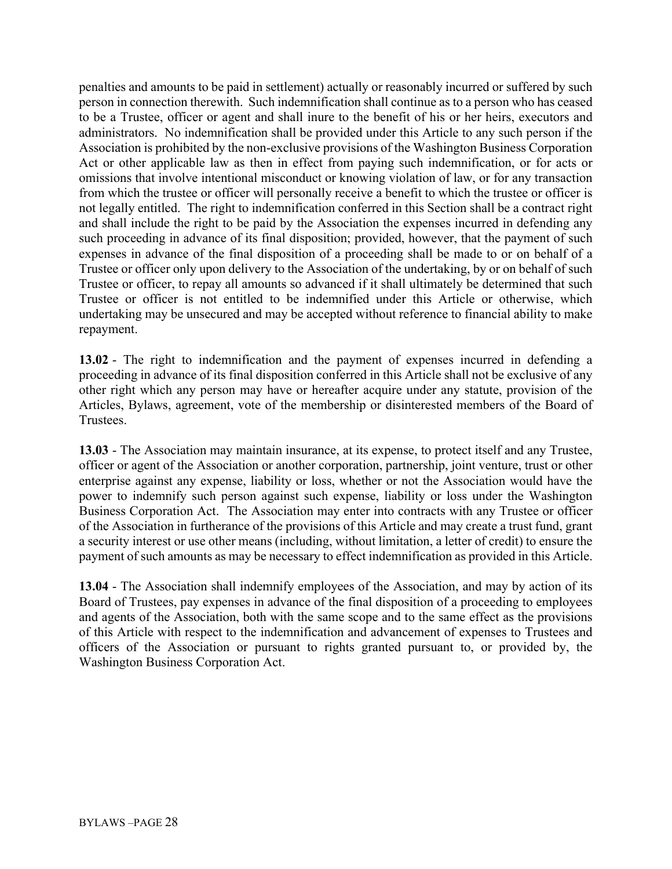penalties and amounts to be paid in settlement) actually or reasonably incurred or suffered by such person in connection therewith. Such indemnification shall continue as to a person who has ceased to be a Trustee, officer or agent and shall inure to the benefit of his or her heirs, executors and administrators. No indemnification shall be provided under this Article to any such person if the Association is prohibited by the non-exclusive provisions of the Washington Business Corporation Act or other applicable law as then in effect from paying such indemnification, or for acts or omissions that involve intentional misconduct or knowing violation of law, or for any transaction from which the trustee or officer will personally receive a benefit to which the trustee or officer is not legally entitled. The right to indemnification conferred in this Section shall be a contract right and shall include the right to be paid by the Association the expenses incurred in defending any such proceeding in advance of its final disposition; provided, however, that the payment of such expenses in advance of the final disposition of a proceeding shall be made to or on behalf of a Trustee or officer only upon delivery to the Association of the undertaking, by or on behalf of such Trustee or officer, to repay all amounts so advanced if it shall ultimately be determined that such Trustee or officer is not entitled to be indemnified under this Article or otherwise, which undertaking may be unsecured and may be accepted without reference to financial ability to make repayment.

**13.02** - The right to indemnification and the payment of expenses incurred in defending a proceeding in advance of its final disposition conferred in this Article shall not be exclusive of any other right which any person may have or hereafter acquire under any statute, provision of the Articles, Bylaws, agreement, vote of the membership or disinterested members of the Board of Trustees.

**13.03** - The Association may maintain insurance, at its expense, to protect itself and any Trustee, officer or agent of the Association or another corporation, partnership, joint venture, trust or other enterprise against any expense, liability or loss, whether or not the Association would have the power to indemnify such person against such expense, liability or loss under the Washington Business Corporation Act. The Association may enter into contracts with any Trustee or officer of the Association in furtherance of the provisions of this Article and may create a trust fund, grant a security interest or use other means (including, without limitation, a letter of credit) to ensure the payment of such amounts as may be necessary to effect indemnification as provided in this Article.

**13.04** - The Association shall indemnify employees of the Association, and may by action of its Board of Trustees, pay expenses in advance of the final disposition of a proceeding to employees and agents of the Association, both with the same scope and to the same effect as the provisions of this Article with respect to the indemnification and advancement of expenses to Trustees and officers of the Association or pursuant to rights granted pursuant to, or provided by, the Washington Business Corporation Act.